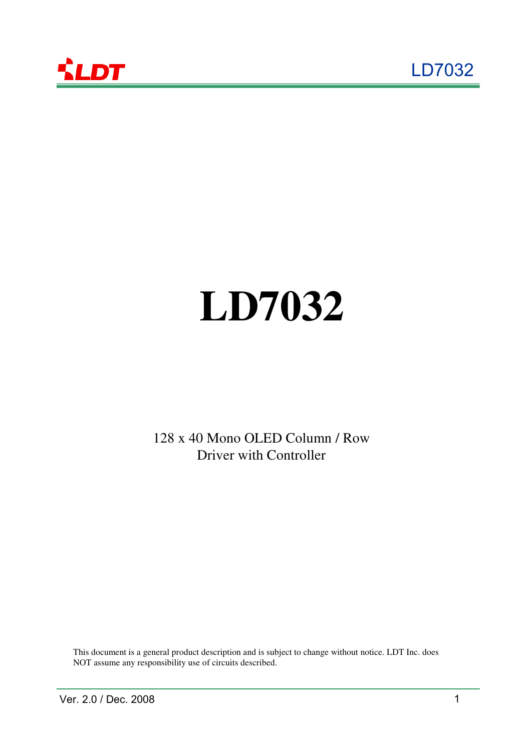



# **LD7032**

128 x 40 Mono OLED Column / Row Driver with Controller

This document is a general product description and is subject to change without notice. LDT Inc. does NOT assume any responsibility use of circuits described.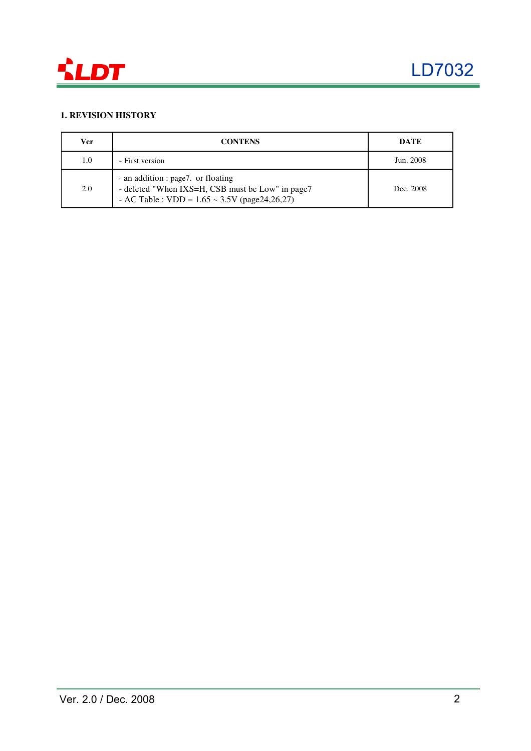

### **1. REVISION HISTORY**

| Ver | <b>CONTENS</b>                                                                                                                               | <b>DATE</b> |
|-----|----------------------------------------------------------------------------------------------------------------------------------------------|-------------|
| 1.0 | - First version                                                                                                                              | Jun. 2008   |
| 2.0 | - an addition : page7. or floating<br>- deleted "When IXS=H, CSB must be Low" in page7<br>- AC Table : VDD = $1.65 \sim 3.5V$ (page24,26,27) | Dec. 2008   |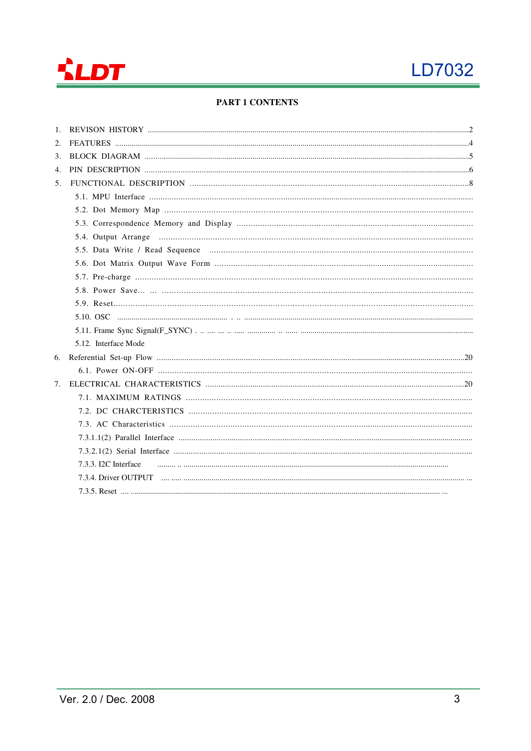

### **PART 1 CONTENTS**

| 2.             |                      |
|----------------|----------------------|
| 3.             |                      |
| 4.             |                      |
| 5 <sub>1</sub> |                      |
|                |                      |
|                |                      |
|                |                      |
|                |                      |
|                |                      |
|                |                      |
|                |                      |
|                |                      |
|                |                      |
|                |                      |
|                |                      |
|                | 5.12. Interface Mode |
|                |                      |
|                |                      |
| 7.             |                      |
|                |                      |
|                |                      |
|                |                      |
|                |                      |
|                |                      |
|                | 7.3.3. I2C Interface |
|                |                      |
|                |                      |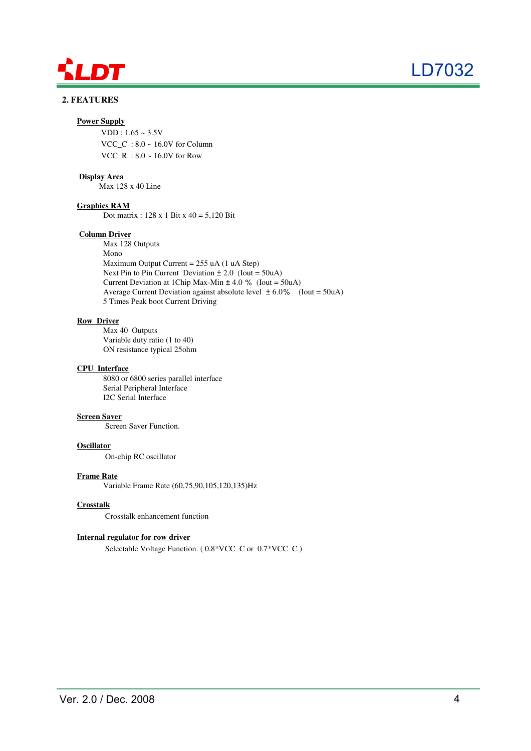

# LD7032

### **2. FEATURES**

### **Power Supply**

 $VDD: 1.65 \sim 3.5V$ VCC\_C :  $8.0 \sim 16.0$ V for Column VCC\_R :  $8.0 \sim 16.0$ V for Row

### **Display Area**

Max 128 x 40 Line

### **Graphics RAM**

Dot matrix : 128 x 1 Bit x 40 = 5,120 Bit

### **Column Driver**

Max 128 Outputs Mono Maximum Output Current = 255 uA (1 uA Step) Next Pin to Pin Current Deviation  $\pm 2.0$  (Iout = 50uA) Current Deviation at 1Chip Max-Min  $\pm$  4.0 % (Iout = 50uA) Average Current Deviation against absolute level  $\pm 6.0\%$  (Iout = 50uA) 5 Times Peak boot Current Driving

### **Row Driver**

Max 40 Outputs Variable duty ratio (1 to 40) ON resistance typical 25ohm

### **CPU Interface**

 8080 or 6800 series parallel interface Serial Peripheral Interface I2C Serial Interface

### **Screen Saver**

Screen Saver Function.

### **Oscillator**

On-chip RC oscillator

### **Frame Rate**

Variable Frame Rate (60,75,90,105,120,135)Hz

### **Crosstalk**

Crosstalk enhancement function

### **Internal regulator for row driver**

Selectable Voltage Function. ( 0.8\*VCC\_C or 0.7\*VCC\_C )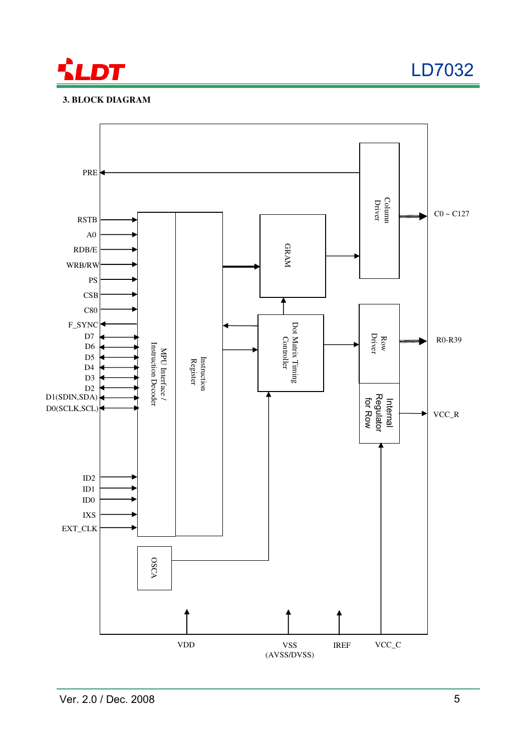

LD7032

### **3. BLOCK DIAGRAM**

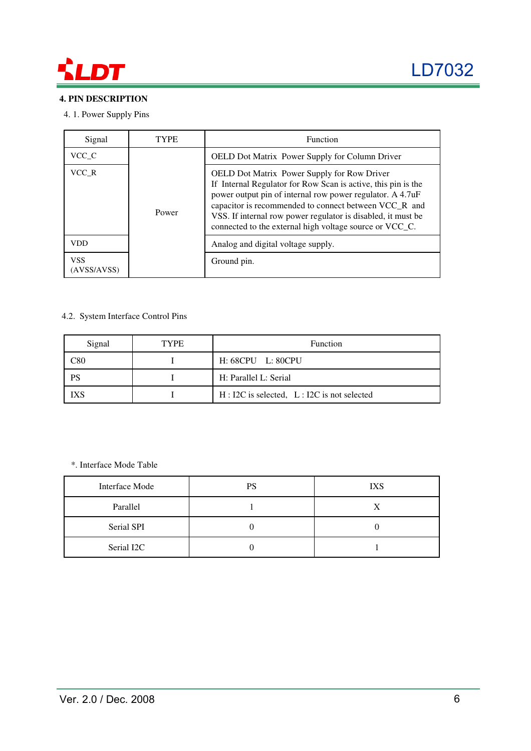

### **4. PIN DESCRIPTION**

### 4. 1. Power Supply Pins

| Signal                    | TYPE  | <b>Function</b>                                                                                                                                                                                                                                                                                                                                               |
|---------------------------|-------|---------------------------------------------------------------------------------------------------------------------------------------------------------------------------------------------------------------------------------------------------------------------------------------------------------------------------------------------------------------|
| VCC C                     |       | OELD Dot Matrix Power Supply for Column Driver                                                                                                                                                                                                                                                                                                                |
| VCC R                     | Power | OELD Dot Matrix Power Supply for Row Driver<br>If Internal Regulator for Row Scan is active, this pin is the<br>power output pin of internal row power regulator. A 4.7uF<br>capacitor is recommended to connect between VCC_R and<br>VSS. If internal row power regulator is disabled, it must be<br>connected to the external high voltage source or VCC_C. |
| <b>VDD</b>                |       | Analog and digital voltage supply.                                                                                                                                                                                                                                                                                                                            |
| <b>VSS</b><br>(AVSS/AVSS) |       | Ground pin.                                                                                                                                                                                                                                                                                                                                                   |

### 4.2. System Interface Control Pins

| Signal    | <b>TYPE</b> | Function                                       |  |
|-----------|-------------|------------------------------------------------|--|
| C80       |             | H: 68CPU L: 80CPU                              |  |
| <b>PS</b> |             | H: Parallel L: Serial                          |  |
| IXS       |             | $H: I2C$ is selected, $L: I2C$ is not selected |  |

### \*. Interface Mode Table

| Interface Mode | PS | <b>IXS</b> |
|----------------|----|------------|
| Parallel       |    | X          |
| Serial SPI     |    |            |
| Serial I2C     |    |            |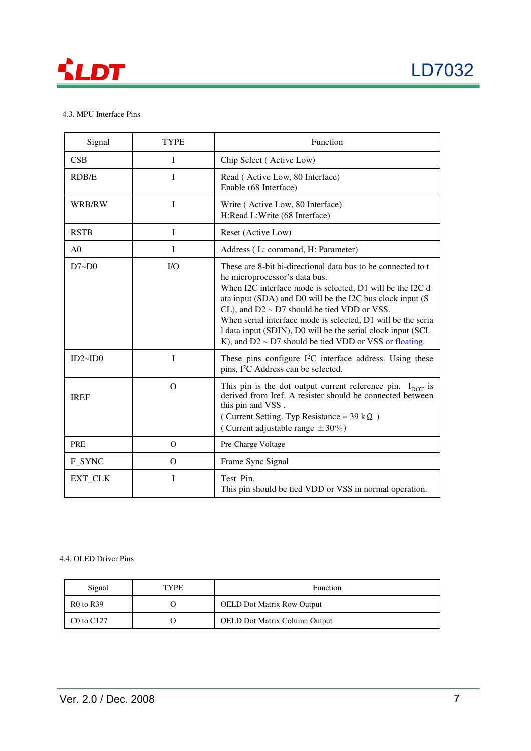

### 4.3. MPU Interface Pins

| Signal         | <b>TYPE</b>  | Function                                                                                                                                                                                                                                                                                                                                                                                                                                                                  |
|----------------|--------------|---------------------------------------------------------------------------------------------------------------------------------------------------------------------------------------------------------------------------------------------------------------------------------------------------------------------------------------------------------------------------------------------------------------------------------------------------------------------------|
| CSB            | I            | Chip Select (Active Low)                                                                                                                                                                                                                                                                                                                                                                                                                                                  |
| RDB/E          | $\bf{I}$     | Read (Active Low, 80 Interface)<br>Enable (68 Interface)                                                                                                                                                                                                                                                                                                                                                                                                                  |
| WRB/RW         | $\mathbf{I}$ | Write (Active Low, 80 Interface)<br>H:Read L:Write (68 Interface)                                                                                                                                                                                                                                                                                                                                                                                                         |
| <b>RSTB</b>    | I            | Reset (Active Low)                                                                                                                                                                                                                                                                                                                                                                                                                                                        |
| A <sub>0</sub> | I            | Address (L: command, H: Parameter)                                                                                                                                                                                                                                                                                                                                                                                                                                        |
| $D7 - D0$      | I/O          | These are 8-bit bi-directional data bus to be connected to t<br>he microprocessor's data bus.<br>When I2C interface mode is selected, D1 will be the I2C d<br>ata input (SDA) and D0 will be the I2C bus clock input (S<br>CL), and $D2 \sim D7$ should be tied VDD or VSS.<br>When serial interface mode is selected, D1 will be the seria<br>1 data input (SDIN), D0 will be the serial clock input (SCL<br>K), and $D2 \sim D7$ should be tied VDD or VSS or floating. |
| ID2~ID0        | I            | These pins configure $I^2C$ interface address. Using these<br>pins, I <sup>2</sup> C Address can be selected.                                                                                                                                                                                                                                                                                                                                                             |
| <b>IREF</b>    | $\Omega$     | This pin is the dot output current reference pin. $I_{\text{DOT}}$ is<br>derived from Iref. A resister should be connected between<br>this pin and VSS.<br>(Current Setting. Typ Resistance = $39 \text{ k}\Omega$ )<br>(Current adjustable range $\pm 30\%$ )                                                                                                                                                                                                            |
| PRE            | $\Omega$     | Pre-Charge Voltage                                                                                                                                                                                                                                                                                                                                                                                                                                                        |
| F SYNC         | $\Omega$     | Frame Sync Signal                                                                                                                                                                                                                                                                                                                                                                                                                                                         |
| EXT_CLK        | $\mathbf I$  | Test Pin.<br>This pin should be tied VDD or VSS in normal operation.                                                                                                                                                                                                                                                                                                                                                                                                      |

### 4.4. OLED Driver Pins

| Signal         | <b>TYPE</b> | Function                             |
|----------------|-------------|--------------------------------------|
| $R0$ to $R39$  |             | <b>OELD Dot Matrix Row Output</b>    |
| $C0$ to $C127$ |             | <b>OELD Dot Matrix Column Output</b> |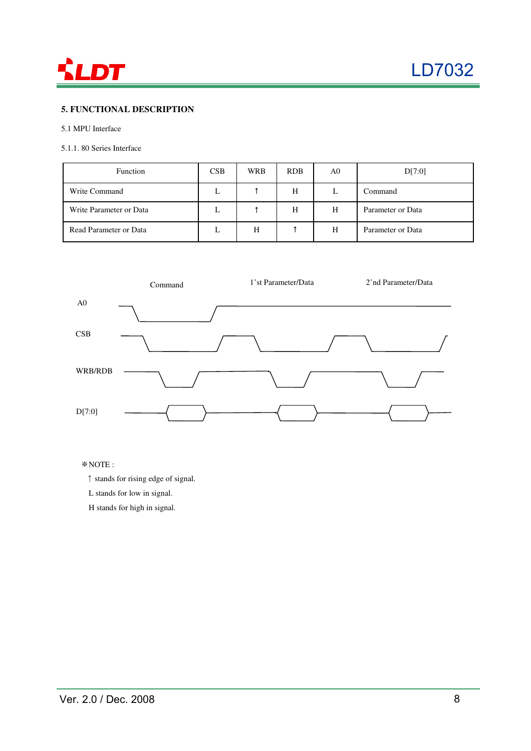

### **5. FUNCTIONAL DESCRIPTION**

### 5.1 MPU Interface

### 5.1.1. 80 Series Interface

| Function                | CSB | <b>WRB</b> | <b>RDB</b> | A0 | D[7:0]            |
|-------------------------|-----|------------|------------|----|-------------------|
| Write Command           | L   |            | Н          | L  | Command           |
| Write Parameter or Data | L   |            | Н          | H  | Parameter or Data |
| Read Parameter or Data  | ┺   | Н          |            | H  | Parameter or Data |



### ※NOTE :

- ↑ stands for rising edge of signal.
- L stands for low in signal.

H stands for high in signal.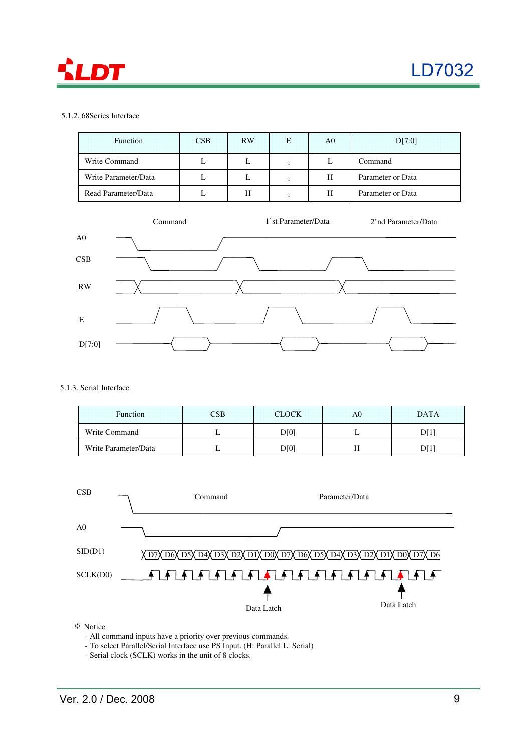

### 5.1.2. 68Series Interface

| Function             | CSB | <b>RW</b> | E | A <sub>0</sub> | D[7:0]            |
|----------------------|-----|-----------|---|----------------|-------------------|
| Write Command        | L   | н.        |   | ┶              | Command           |
| Write Parameter/Data | L   | ъ.        |   | Н              | Parameter or Data |
| Read Parameter/Data  | ட   | H         |   | H              | Parameter or Data |



### 5.1.3. Serial Interface

| <b>Function</b>      | CSB | <b>CLOCK</b> | A0 | <b>DATA</b> |
|----------------------|-----|--------------|----|-------------|
| Write Command        |     | D[0]         |    |             |
| Write Parameter/Data |     | D[0]         |    |             |



※ Notice

- All command inputs have a priority over previous commands.

- To select Parallel/Serial Interface use PS Input. (H: Parallel L: Serial)

- Serial clock (SCLK) works in the unit of 8 clocks.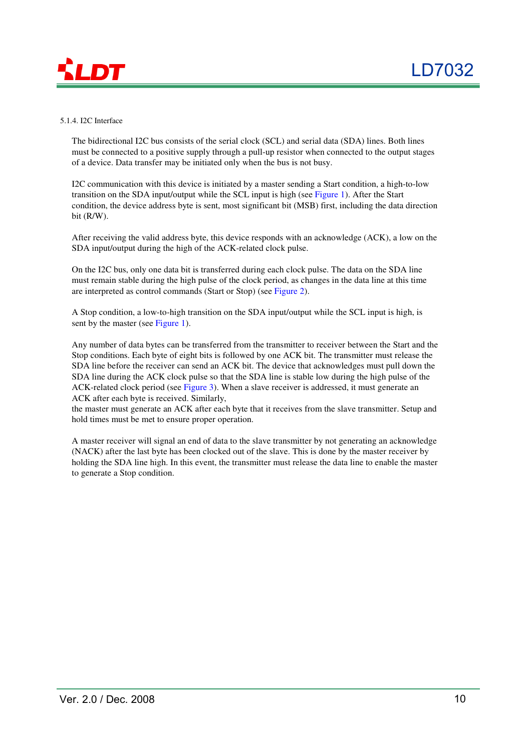

### 5.1.4. I2C Interface

The bidirectional I2C bus consists of the serial clock (SCL) and serial data (SDA) lines. Both lines must be connected to a positive supply through a pull-up resistor when connected to the output stages of a device. Data transfer may be initiated only when the bus is not busy.

I2C communication with this device is initiated by a master sending a Start condition, a high-to-low transition on the SDA input/output while the SCL input is high (see Figure 1). After the Start condition, the device address byte is sent, most significant bit (MSB) first, including the data direction bit (R/W).

After receiving the valid address byte, this device responds with an acknowledge (ACK), a low on the SDA input/output during the high of the ACK-related clock pulse.

On the I2C bus, only one data bit is transferred during each clock pulse. The data on the SDA line must remain stable during the high pulse of the clock period, as changes in the data line at this time are interpreted as control commands (Start or Stop) (see Figure 2).

A Stop condition, a low-to-high transition on the SDA input/output while the SCL input is high, is sent by the master (see Figure 1).

Any number of data bytes can be transferred from the transmitter to receiver between the Start and the Stop conditions. Each byte of eight bits is followed by one ACK bit. The transmitter must release the SDA line before the receiver can send an ACK bit. The device that acknowledges must pull down the SDA line during the ACK clock pulse so that the SDA line is stable low during the high pulse of the ACK-related clock period (see Figure 3). When a slave receiver is addressed, it must generate an ACK after each byte is received. Similarly,

the master must generate an ACK after each byte that it receives from the slave transmitter. Setup and hold times must be met to ensure proper operation.

A master receiver will signal an end of data to the slave transmitter by not generating an acknowledge (NACK) after the last byte has been clocked out of the slave. This is done by the master receiver by holding the SDA line high. In this event, the transmitter must release the data line to enable the master to generate a Stop condition.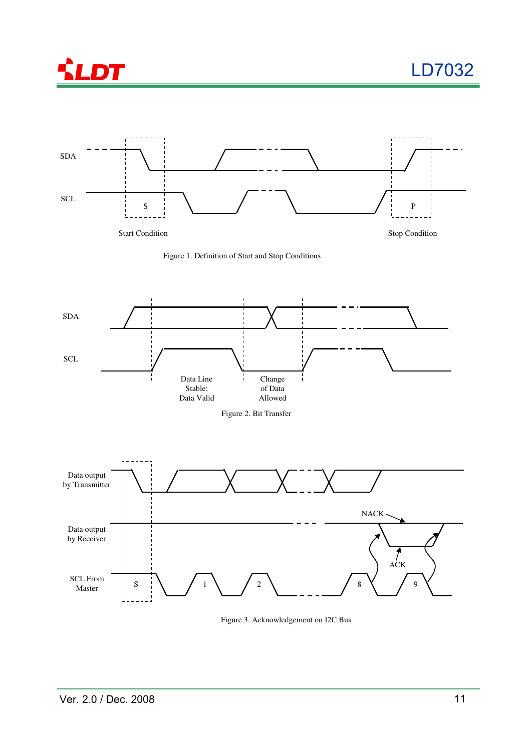







Figure 3. Acknowledgement on I2C Bus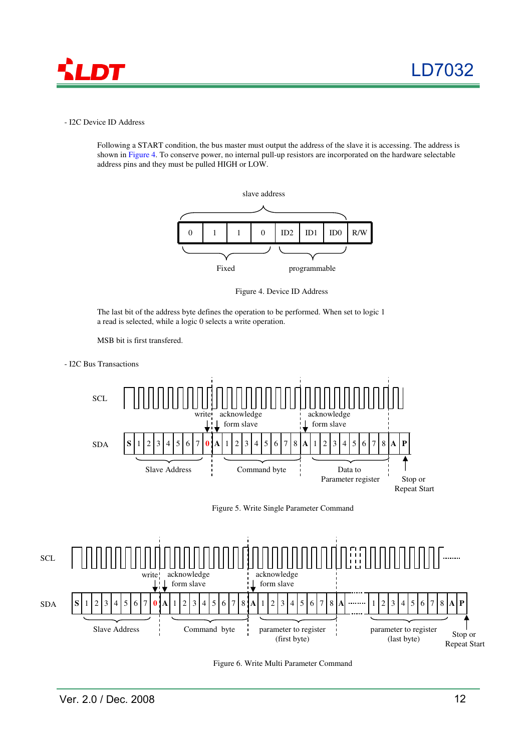

### - I2C Device ID Address

Following a START condition, the bus master must output the address of the slave it is accessing. The address is shown in Figure 4. To conserve power, no internal pull-up resistors are incorporated on the hardware selectable address pins and they must be pulled HIGH or LOW.



Figure 4. Device ID Address

The last bit of the address byte defines the operation to be performed. When set to logic 1 a read is selected, while a logic 0 selects a write operation.





Figure 5. Write Single Parameter Command



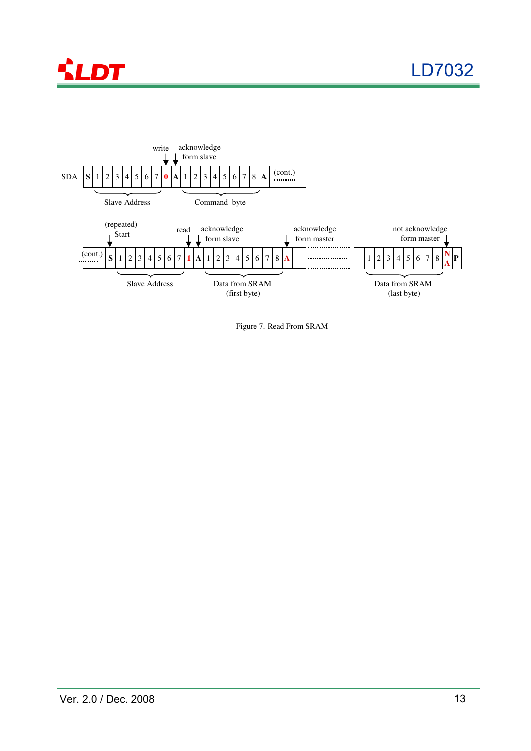



Figure 7. Read From SRAM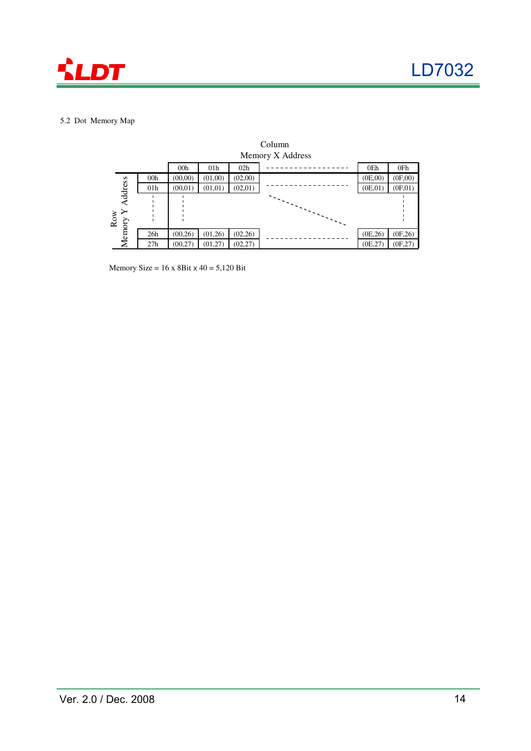

### 5.2 Dot Memory Map



Memory Size =  $16 \times 8$ Bit  $\times 40 = 5,120$  Bit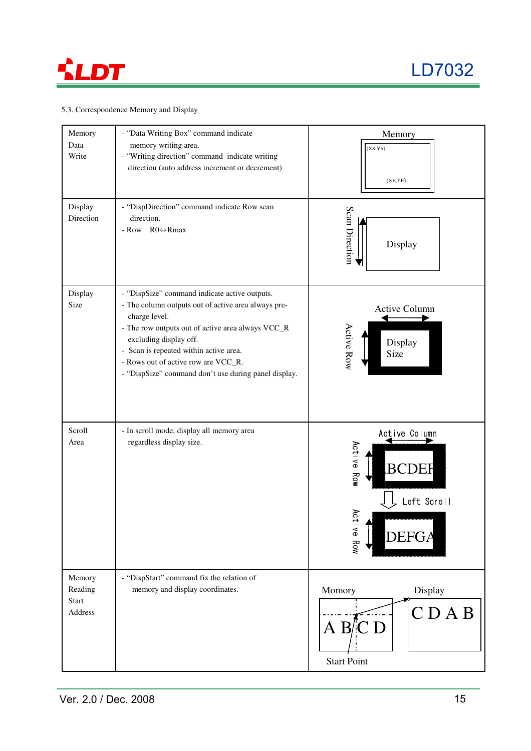

### 5.3. Correspondence Memory and Display

| Memory<br>Data<br>Write               | - "Data Writing Box" command indicate<br>memory writing area.<br>- "Writing direction" command indicate writing<br>direction (auto address increment or decrement)                                                                                                                                                                            | Memory<br>(XS,YS)<br>(XE,YE)                                                                      |
|---------------------------------------|-----------------------------------------------------------------------------------------------------------------------------------------------------------------------------------------------------------------------------------------------------------------------------------------------------------------------------------------------|---------------------------------------------------------------------------------------------------|
| Display<br>Direction                  | - "DispDirection" command indicate Row scan<br>direction.<br>- Row $R0 \Leftrightarrow Rmax$                                                                                                                                                                                                                                                  | Scan Direction<br>Display                                                                         |
| Display<br>Size                       | - "DispSize" command indicate active outputs.<br>- The column outputs out of active area always pre-<br>charge level.<br>- The row outputs out of active area always VCC_R<br>excluding display off.<br>- Scan is repeated within active area.<br>- Rows out of active row are VCC_R.<br>- "DispSize" command don't use during panel display. | <b>Active Column</b><br>Active Row<br>Display<br>Size                                             |
| Scroll<br>Area                        | - In scroll mode, display all memory area<br>regardless display size.                                                                                                                                                                                                                                                                         | Active Column<br>Active Row<br><b>BCDEF</b><br>Left Scroll<br>Act<br>il ve<br><b>DEFGA</b><br>Row |
| Memory<br>Reading<br>Start<br>Address | - "DispStart" command fix the relation of<br>memory and display coordinates.                                                                                                                                                                                                                                                                  | Momory<br>Display<br>CDAB<br>A B/C D<br><b>Start Point</b>                                        |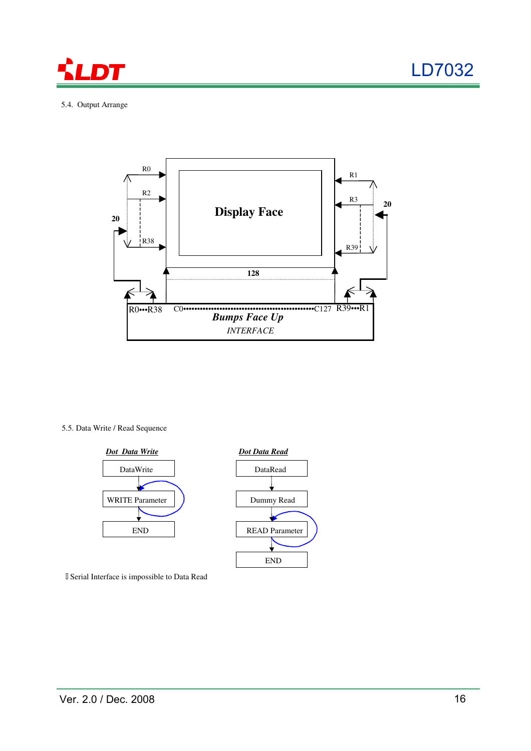



5.4. Output Arrange



5.5. Data Write / Read Sequence



Serial Interface is impossible to Data Read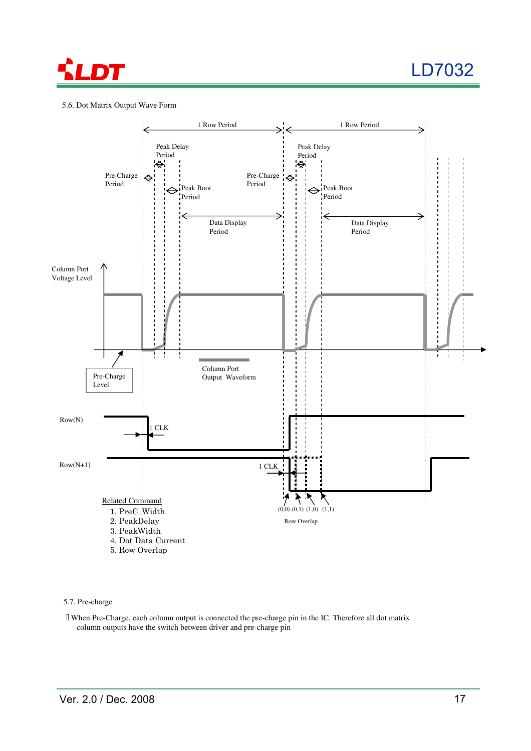

### 5.6. Dot Matrix Output Wave Form



5.7. Pre-charge

 When Pre-Charge, each column output is connected the pre-charge pin in the IC. Therefore all dot matrix column outputs have the switch between driver and pre-charge pin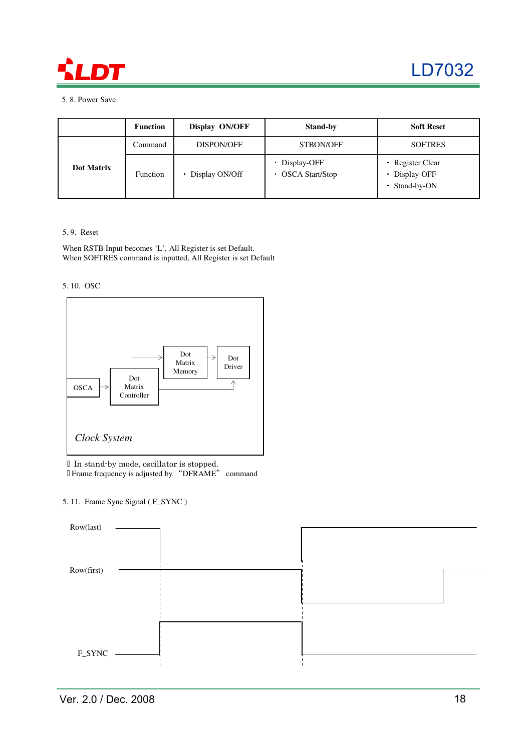

5. 8. Power Save

|            | <b>Function</b> | Display ON/OFF | <b>Stand-by</b>                         | <b>Soft Reset</b>                                  |
|------------|-----------------|----------------|-----------------------------------------|----------------------------------------------------|
|            | Command         | DISPON/OFF     | STBON/OFF                               | <b>SOFTRES</b>                                     |
| Dot Matrix | Function        | Display ON/Off | • Display-OFF<br><b>OSCA Start/Stop</b> | · Register Clear<br>• Display-OFF<br>• Stand-by-ON |

### 5. 9. Reset

When RSTB Input becomes 'L', All Register is set Default. When SOFTRES command is inputted, All Register is set Default





 In stand-by mode, oscillator is stopped. Frame frequency is adjusted by "DFRAME" command

5. 11. Frame Sync Signal ( F\_SYNC )

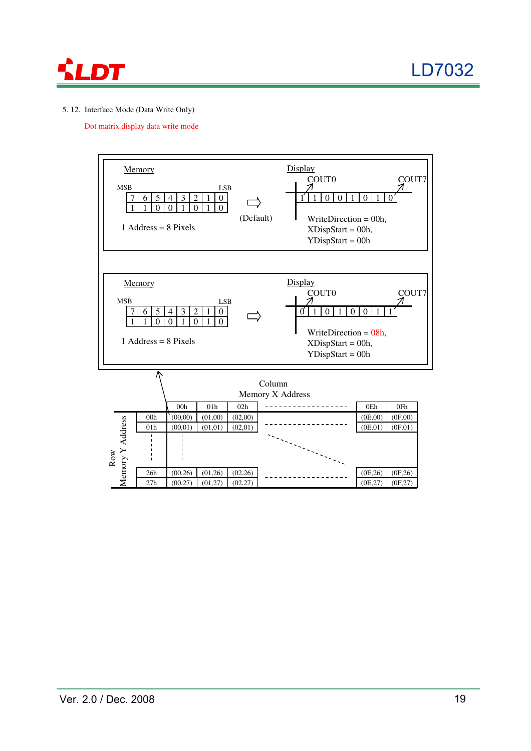

### 5. 12. Interface Mode (Data Write Only)

Dot matrix display data write mode

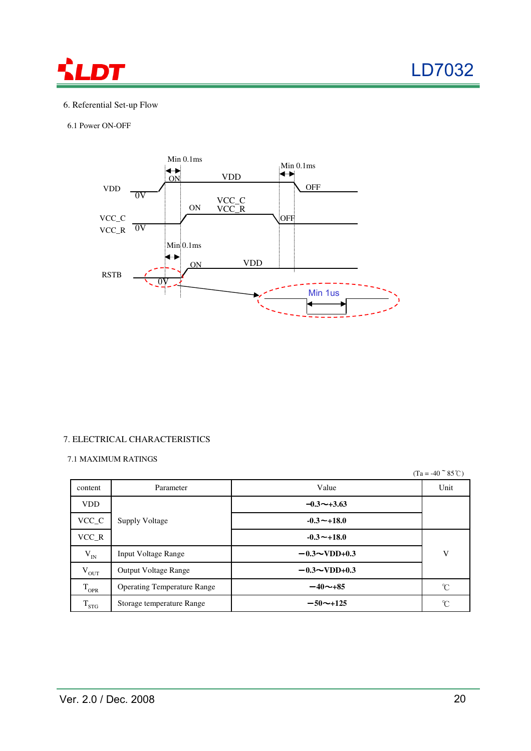

### 6. Referential Set-up Flow

6.1 Power ON-OFF



### 7. ELECTRICAL CHARACTERISTICS

### 7.1 MAXIMUM RATINGS

 $(Ta = -40~^{\circ}~85^{\circ}C)$ 

| content                   | Parameter                          | Value               | Unit          |
|---------------------------|------------------------------------|---------------------|---------------|
| <b>VDD</b>                |                                    | $-0.3 \sim +3.63$   |               |
| $VCC_C$                   | <b>Supply Voltage</b>              | $-0.3 + 18.0$       |               |
| $VCC_R$                   |                                    | $-0.3 - +18.0$      |               |
| $\rm V_{\rm IN}$          | <b>Input Voltage Range</b>         | $-0.3 \sim$ VDD+0.3 | V             |
| $V_{OUT}$                 | <b>Output Voltage Range</b>        | $-0.3 - VDD + 0.3$  |               |
| $T_{OPR}$                 | <b>Operating Temperature Range</b> | $-40\nu +85$        | $\mathcal{C}$ |
| $\mathbf{1}_{\text{STG}}$ | Storage temperature Range          | $-50$ ~+125         | °C            |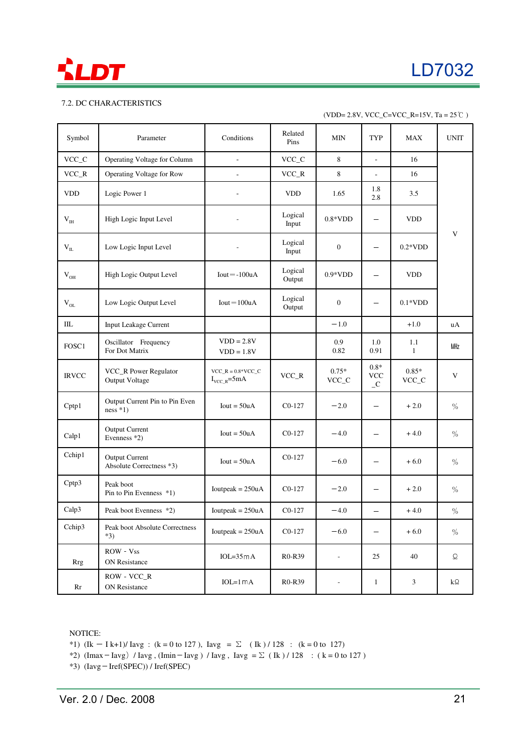

### 7.2. DC CHARACTERISTICS

| Symbol           | Parameter                                         | Conditions                                              | Related<br>Pins   | MIN                      | TYP                                   | <b>MAX</b>          | <b>UNIT</b>   |
|------------------|---------------------------------------------------|---------------------------------------------------------|-------------------|--------------------------|---------------------------------------|---------------------|---------------|
| VCC_C            | Operating Voltage for Column                      | L.                                                      | $VCC_C$           | 8                        | L.                                    | 16                  |               |
| VCC_R            | Operating Voltage for Row                         |                                                         | $VCC_R$           | 8                        | $\overline{a}$                        | 16                  |               |
| <b>VDD</b>       | Logic Power 1                                     |                                                         | <b>VDD</b>        | 1.65                     | 1.8<br>2.8                            | 3.5                 |               |
| V <sub>IH</sub>  | High Logic Input Level                            |                                                         | Logical<br>Input  | $0.8*VDD$                |                                       | <b>VDD</b>          |               |
| $\rm V_{\rm IL}$ | Low Logic Input Level                             |                                                         | Logical<br>Input  | $\mathbf{0}$             | $\overline{\phantom{0}}$              | $0.2*VDD$           | V             |
| $\rm V_{OH}$     | High Logic Output Level                           | $Iout = -100uA$                                         | Logical<br>Output | $0.9*VDD$                | $\overline{\phantom{0}}$              | <b>VDD</b>          |               |
| $V_{OL}$         | Low Logic Output Level                            | $Iout = 100uA$                                          | Logical<br>Output | $\boldsymbol{0}$         |                                       | $0.1*VDD$           |               |
| IIL              | Input Leakage Current                             |                                                         |                   | $-1.0$                   |                                       | $+1.0$              | uA            |
| FOSC1            | Oscillator Frequency<br>For Dot Matrix            | $VDD = 2.8V$<br>$VDD = 1.8V$                            |                   | 0.9<br>0.82              | 1.0<br>0.91                           | 1.1<br>$\mathbf{1}$ | MHz           |
| <b>IRVCC</b>     | VCC_R Power Regulator<br><b>Output Voltage</b>    | $VCC_R = 0.8*VCC_C$<br>$I_{\text{VCC R}} = 5 \text{mA}$ | $VCC_R$           | $0.75*$<br>VCC_C         | $0.8*$<br><b>VCC</b><br>$\mathcal{C}$ | $0.85*$<br>$VCC_C$  | V             |
| Cptp1            | Output Current Pin to Pin Even<br>$ness * 1)$     | $Iout = 50uA$                                           | $C0-127$          | $-2.0$                   | $\overline{\phantom{0}}$              | $+2.0$              | $\%$          |
| Calp1            | <b>Output Current</b><br>Evenness *2)             | $Iout = 50uA$                                           | $C0-127$          | $-4.0$                   |                                       | $+4.0$              | $\%$          |
| Cchip1           | <b>Output Current</b><br>Absolute Correctness *3) | $Iout = 50uA$                                           | $CO-127$          | $-6.0$                   | $\overline{\phantom{0}}$              | $+6.0$              | $\frac{0}{0}$ |
| Cptp3            | Peak boot<br>Pin to Pin Evenness *1)              | Ioutpeak = $250uA$                                      | $CO-127$          | $-2.0$                   | $\overline{\phantom{0}}$              | $+2.0$              | $\frac{0}{0}$ |
| Calp3            | Peak boot Evenness *2)                            | Ioutpeak = $250uA$                                      | $C0-127$          | $-4.0$                   | $\overline{\phantom{0}}$              | $+4.0$              | $\%$          |
| Cchip3           | Peak boot Absolute Correctness<br>$*3)$           | $Ioutpeak = 250uA$                                      | $C0-127$          | $-6.0$                   | $\overline{\phantom{0}}$              | $+6.0$              | $\%$          |
| Rrg              | $ROW - Vss$<br><b>ON Resistance</b>               | $IOL=35mA$                                              | R0-R39            | $\overline{\phantom{a}}$ | 25                                    | 40                  | Ω             |
| Rr               | ROW VCC_R<br>ON Resistance                        | $IOL=1mA$                                               | R0-R39            | $\overline{\phantom{a}}$ | $\mathbf{1}$                          | $\mathfrak{Z}$      | $k\Omega$     |

NOTICE:

\*1)  $(Ik - I k+1)/Iavg$  :  $(k = 0 to 127)$ ,  $Iavg = \sum (Ik) / 128$  :  $(k = 0 to 127)$ 

- \*2) (Imax Iavg) / Iavg , (Imin Iavg) / Iavg , Iavg =  $\Sigma$  ( Ik ) / 128 : ( k = 0 to 127 )
- \*3) (Iavg-Iref(SPEC)) / Iref(SPEC)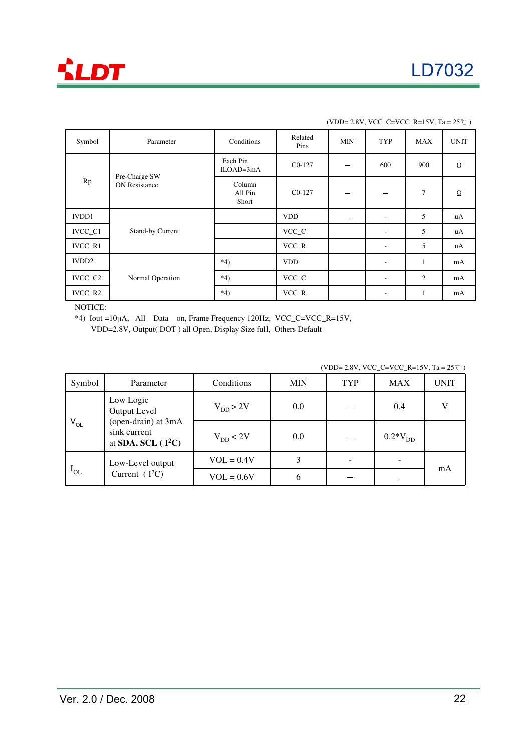

| Symbol                                      | Parameter                  | Conditions              | Related<br>Pins | MIN | TYP                      | <b>MAX</b>     | <b>UNIT</b> |
|---------------------------------------------|----------------------------|-------------------------|-----------------|-----|--------------------------|----------------|-------------|
|                                             |                            | Each Pin<br>$ILOAD=3mA$ | $CO-127$        | --  | 600                      | 900            | $\Omega$    |
| Pre-Charge SW<br>Rp<br><b>ON Resistance</b> | Column<br>All Pin<br>Short | $CO-127$                |                 |     | 7                        | Ω              |             |
| <b>IVDD1</b>                                |                            |                         | <b>VDD</b>      | -   | $\overline{\phantom{a}}$ | 5              | uA          |
| IVCC_C1                                     | Stand-by Current           |                         | VCC_C           |     | $\overline{\phantom{a}}$ | 5              | uA          |
| IVCC_R1                                     |                            |                         | $VCC_R$         |     | $\overline{\phantom{a}}$ | 5              | uA          |
| IVDD <sub>2</sub>                           |                            | $*4)$                   | <b>VDD</b>      |     | $\overline{\phantom{a}}$ | $\mathbf{1}$   | mA          |
| IVCC_C2                                     | Normal Operation           | $*4)$                   | VCC_C           |     | $\overline{\phantom{a}}$ | $\overline{2}$ | mA          |
| IVCC_R2                                     |                            | $*4)$                   | $VCC_R$         |     | $\overline{\phantom{a}}$ | 1              | mA          |

NOTICE:

\*4) Iout =10μA, All Data on, Frame Frequency 120Hz, VCC\_C=VCC\_R=15V,

VDD=2.8V, Output( DOT ) all Open, Display Size full, Others Default

(VDD= 2.8V, VCC\_C=VCC\_R=15V, Ta =  $25^{\circ}$ C)

| Symbol                    | Parameter                                                                   | Conditions    | MIN     | <b>TYP</b> | <b>MAX</b>   | <b>UNIT</b> |
|---------------------------|-----------------------------------------------------------------------------|---------------|---------|------------|--------------|-------------|
| Low Logic<br>Output Level |                                                                             | $V_{DD} > 2V$ | $0.0\,$ |            | 0.4          |             |
| $V_{OL}$                  | (open-drain) at 3mA<br>sink current<br>at SDA, SCL $($ I <sup>2</sup> C $)$ | $V_{DD}$ < 2V | 0.0     |            | $0.2*V_{DD}$ |             |
| $I_{OL}$                  | Low-Level output<br>Current $(I^2C)$                                        | $VOL = 0.4V$  | 3       |            |              |             |
|                           |                                                                             | $VOL = 0.6V$  | h       |            |              | mA          |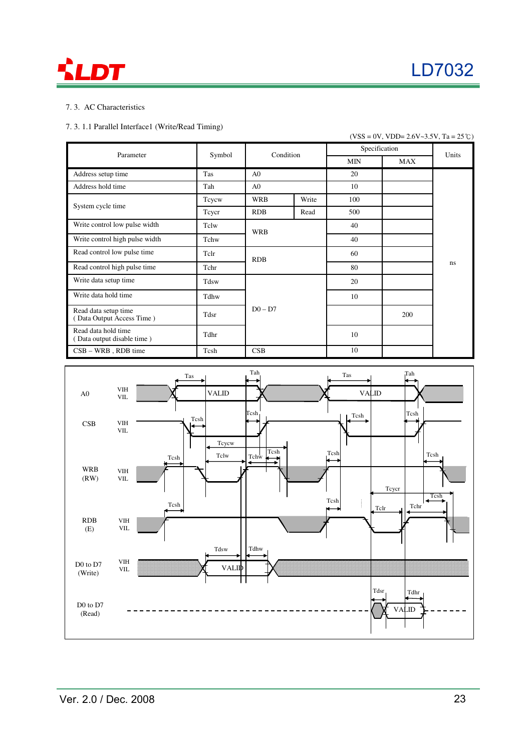



### 7. 3. AC Characteristics

### 7. 3. 1.1 Parallel Interface1 (Write/Read Timing)

|                                                   |       |                     |       |               | $(VSS = 0V, VDD = 2.6V~3.5V, Ta = 25^{\circ}C)$ |       |
|---------------------------------------------------|-------|---------------------|-------|---------------|-------------------------------------------------|-------|
| Parameter                                         |       | Condition<br>Symbol |       | Specification |                                                 | Units |
|                                                   |       |                     |       | <b>MIN</b>    | <b>MAX</b>                                      |       |
| Address setup time                                | Tas   | A <sub>0</sub>      |       | 20            |                                                 |       |
| Address hold time                                 | Tah   | A <sub>0</sub>      |       | 10            |                                                 |       |
| System cycle time                                 | Tcycw | <b>WRB</b>          | Write | 100           |                                                 |       |
|                                                   | Teyer | <b>RDB</b>          | Read  | 500           |                                                 |       |
| Write control low pulse width                     | Tclw  | <b>WRB</b>          |       | 40            |                                                 |       |
| Write control high pulse width                    | Tchw  |                     |       | 40            |                                                 |       |
| Read control low pulse time                       | Tclr  | <b>RDB</b>          |       | 60            |                                                 |       |
| Read control high pulse time                      | Tchr  |                     |       | 80            |                                                 | ns    |
| Write data setup time                             | Tdsw  |                     |       | 20            |                                                 |       |
| Write data hold time                              | Tdhw  |                     |       |               |                                                 |       |
| Read data setup time<br>(Data Output Access Time) | Tdsr  | $D0 - D7$           |       |               | 200                                             |       |
| Read data hold time<br>(Data output disable time) | Tdhr  |                     |       | 10            |                                                 |       |
| $CSB - WRB$ , RDB time                            | Tcsh  | CSB                 |       | 10            |                                                 |       |

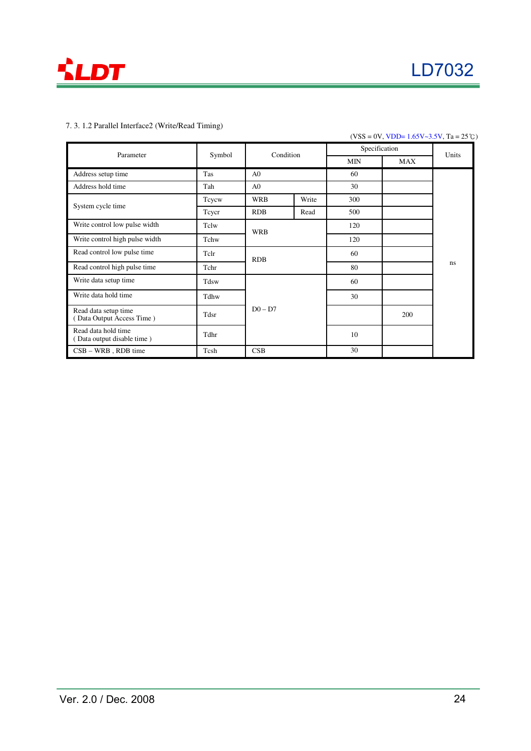

### 7. 3. 1.2 Parallel Interface2 (Write/Read Timing)

### $(VSS = 0V, VDD = 1.65V - 3.5V, Ta = 25°C)$

| Parameter                                         | Symbol | Condition      |            | Specification | Units |    |
|---------------------------------------------------|--------|----------------|------------|---------------|-------|----|
|                                                   |        |                | <b>MIN</b> | MAX           |       |    |
| Address setup time                                | Tas    | A <sub>0</sub> |            | 60            |       |    |
| Address hold time                                 | Tah    | A <sub>0</sub> |            | 30            |       |    |
| System cycle time                                 | Tcycw  | <b>WRB</b>     | Write      | 300           |       |    |
|                                                   | Teyer  | <b>RDB</b>     | Read       | 500           |       |    |
| Write control low pulse width                     | Tclw   | <b>WRB</b>     |            | 120           |       |    |
| Write control high pulse width                    | Tchw   |                |            | 120           |       |    |
| Read control low pulse time                       | Tclr   | <b>RDB</b>     |            | 60            |       |    |
| Read control high pulse time                      | Tchr   |                |            | 80            |       | ns |
| Write data setup time                             | Tdsw   |                |            | 60            |       |    |
| Write data hold time                              | Tdhw   |                |            | 30            |       |    |
| Read data setup time<br>(Data Output Access Time) | Tdsr   | $D0 - D7$      |            |               | 200   |    |
| Read data hold time<br>Data output disable time)  | Tdhr   |                |            | 10            |       |    |
| $CSB - WRB$ , RDB time                            | Tcsh   | CSB            |            | 30            |       |    |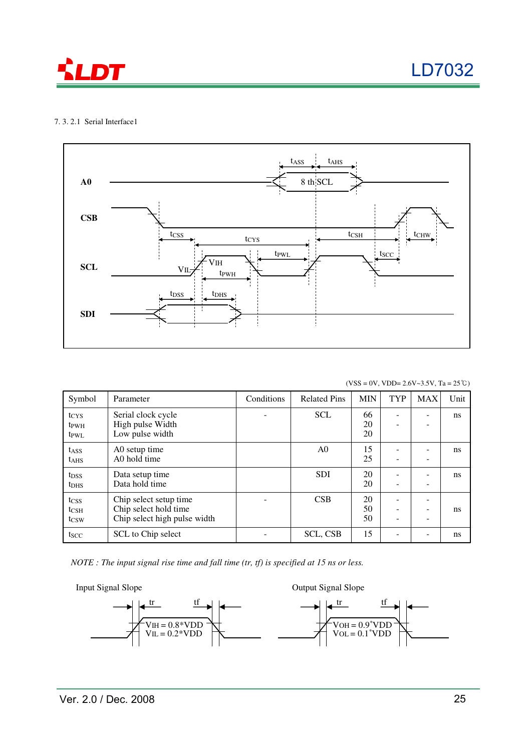

LD7032

### 7. 3. 2.1 Serial Interface1



 $(VSS = 0V, VDD = 2.6V~3.5V, Ta = 25°C)$ 

| Symbol                                                   | Parameter                                                                       | Conditions | <b>Related Pins</b> | <b>MIN</b>     | <b>TYP</b> | <b>MAX</b> | Unit          |
|----------------------------------------------------------|---------------------------------------------------------------------------------|------------|---------------------|----------------|------------|------------|---------------|
| t <sub>CYS</sub><br>t <sub>PWH</sub><br>t <sub>PWL</sub> | Serial clock cycle<br>High pulse Width<br>Low pulse width                       |            | <b>SCL</b>          | 66<br>20<br>20 | -<br>-     |            | <sub>ns</sub> |
| t <sub>ASS</sub><br><b>t</b> <sub>AHS</sub>              | A0 setup time<br>A0 hold time                                                   |            | A <sub>0</sub>      | 15<br>25       | ۰<br>-     |            | <sub>ns</sub> |
| t <sub>DSS</sub><br>t <sub>DHS</sub>                     | Data setup time<br>Data hold time                                               |            | <b>SDI</b>          | 20<br>20       | ۰          |            | <sub>ns</sub> |
| tcss<br>$t_{\text{CSH}}$<br>t <sub>CSW</sub>             | Chip select setup time<br>Chip select hold time<br>Chip select high pulse width |            | CSB                 | 20<br>50<br>50 | -<br>-     |            | <sub>ns</sub> |
| tscc                                                     | SCL to Chip select                                                              |            | <b>SCL, CSB</b>     | 15             |            |            | <sub>ns</sub> |

*NOTE : The input signal rise time and fall time (tr, tf) is specified at 15 ns or less.*

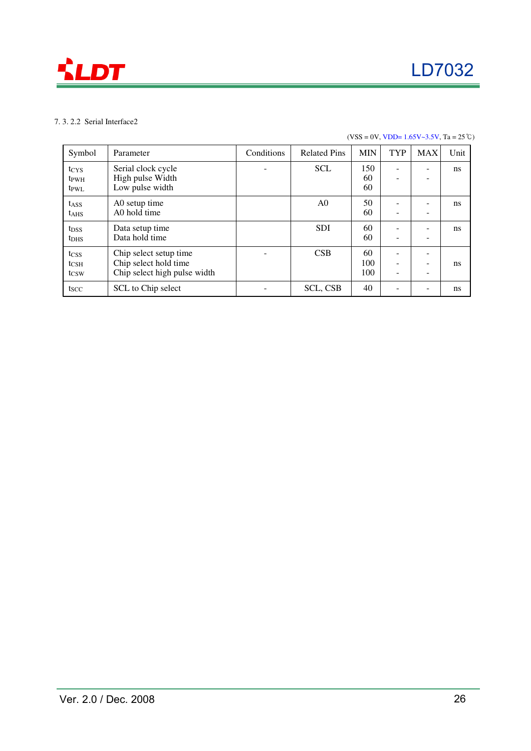

### 7. 3. 2.2 Serial Interface2

### $(VSS = 0V, VDD = 1.65V~3.5V, Ta = 25°C)$

| Symbol                                       | Parameter                                                                       | Conditions | <b>Related Pins</b> | <b>MIN</b>       | <b>TYP</b>  | <b>MAX</b> | Unit          |
|----------------------------------------------|---------------------------------------------------------------------------------|------------|---------------------|------------------|-------------|------------|---------------|
| tcys<br>t <sub>PWH</sub><br>t <sub>PWL</sub> | Serial clock cycle<br>High pulse Width<br>Low pulse width                       |            | <b>SCL</b>          | 150<br>60<br>60  | -<br>۰      |            | <sub>ns</sub> |
| t <sub>ASS</sub><br>$t_{AHS}$                | A0 setup time<br>A0 hold time                                                   |            | A <sub>0</sub>      | 50<br>60         | -<br>-      |            | ns            |
| t <sub>DSS</sub><br>t <sub>DHS</sub>         | Data setup time<br>Data hold time                                               |            | <b>SDI</b>          | 60<br>60         | -<br>-      |            | ns            |
| tcss<br>$t_{\rm CSH}$<br>tcsw                | Chip select setup time<br>Chip select hold time<br>Chip select high pulse width |            | CSB                 | 60<br>100<br>100 | -<br>۰<br>۰ | -          | ns            |
| tscc                                         | SCL to Chip select                                                              |            | <b>SCL, CSB</b>     | 40               | -           |            | ns            |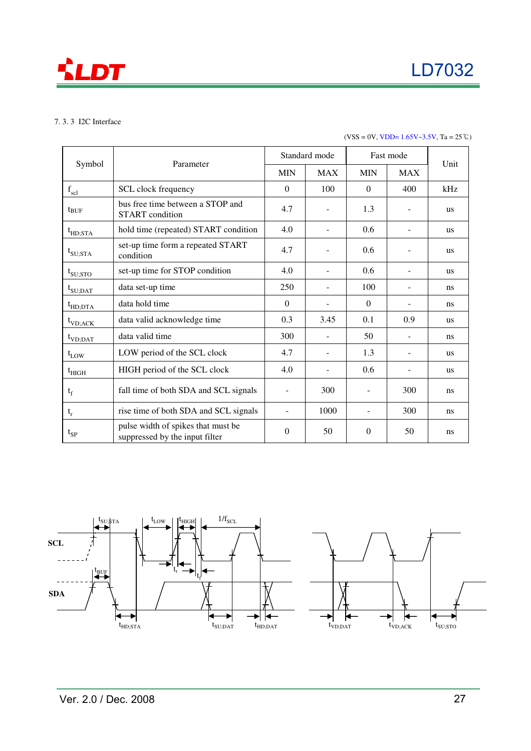

### 7. 3. 3 I2C Interface

### $(VSS = 0V, VDD = 1.65V~3.5V, Ta = 25°C)$

|                              | Parameter                                                            | Standard mode            |                | Fast mode  |                |               |
|------------------------------|----------------------------------------------------------------------|--------------------------|----------------|------------|----------------|---------------|
| Symbol                       |                                                                      |                          | <b>MAX</b>     | <b>MIN</b> | <b>MAX</b>     | Unit          |
| $f_{\rm scl}$                | SCL clock frequency                                                  | $\Omega$                 | 100            | $\Omega$   | 400            | kHz           |
| truf                         | bus free time between a STOP and<br><b>START</b> condition           | 4.7                      |                | 1.3        |                | us            |
| $t_{HD;STA}$                 | hold time (repeated) START condition                                 | 4.0                      |                | 0.6        |                | <b>us</b>     |
| $t_{\text{SU;STA}}$          | set-up time form a repeated START<br>condition                       | 4.7                      |                | 0.6        |                | <b>us</b>     |
| $t_{\rm SU;STO}$             | set-up time for STOP condition                                       | 4.0                      |                | 0.6        |                | <b>us</b>     |
| $t_{\text{SU;DAT}}$          | data set-up time                                                     | 250                      |                | 100        |                | ns            |
| $t_{HD;DTA}$                 | data hold time                                                       | $\Omega$                 |                | $\Omega$   |                | ns            |
| $t_{VD;ACK}$                 | data valid acknowledge time                                          | 0.3                      | 3.45           | 0.1        | 0.9            | <b>us</b>     |
| $t_{VD;DAT}$                 | data valid time                                                      | 300                      |                | 50         |                | <sub>ns</sub> |
| $t_{LOW}$                    | LOW period of the SCL clock                                          | 4.7                      |                | 1.3        |                | <b>us</b>     |
| $\mathrm{t}_{\mathrm{HIGH}}$ | HIGH period of the SCL clock                                         | 4.0                      | $\overline{a}$ | 0.6        | $\blacksquare$ | <b>us</b>     |
| $t_f$                        | fall time of both SDA and SCL signals                                | $\overline{\phantom{a}}$ | 300            |            | 300            | ns            |
| $t_r$                        | rise time of both SDA and SCL signals                                | $\overline{\phantom{a}}$ | 1000           |            | 300            | ns            |
| $t_{SP}$                     | pulse width of spikes that must be<br>suppressed by the input filter | $\theta$                 | 50             | $\theta$   | 50             | <sub>ns</sub> |

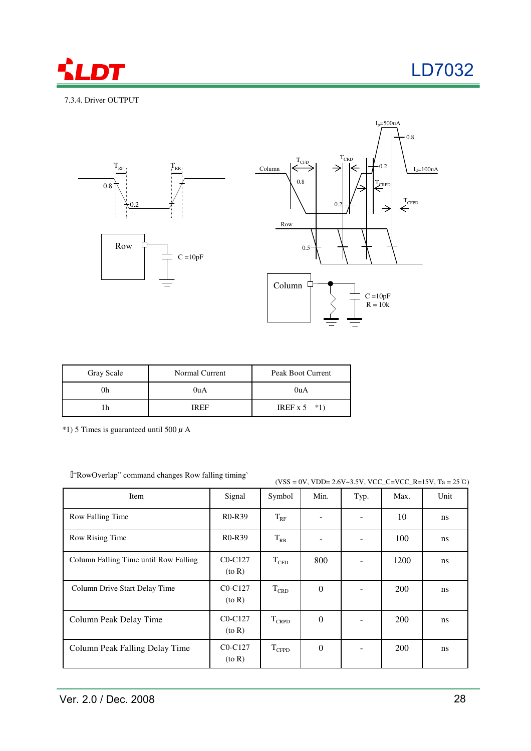

### 7.3.4. Driver OUTPUT





| Gray Scale | Normal Current | Peak Boot Current |
|------------|----------------|-------------------|
|            | 0uA            | 0 <sub>u</sub> A  |
|            | <b>IREF</b>    | IREF $x 5$ *1)    |

 $*1$ ) 5 Times is guaranteed until 500  $\mu$  A

"RowOverlap" command changes Row falling timing`

 $(VSS = 0V, VDD = 2.6V~3.5V, VCC_C = VCC_R = 15V, Ta = 25°C)$ 

| Item                                  | Signal                    | Symbol        | Min.             | Typ. | Max.       | Unit          |
|---------------------------------------|---------------------------|---------------|------------------|------|------------|---------------|
| Row Falling Time                      | $R0-R39$                  | $T_{RF}$      |                  |      | 10         | <sub>ns</sub> |
| Row Rising Time                       | <b>R0-R39</b>             | $T_{RR}$      |                  |      | 100        | <sub>ns</sub> |
| Column Falling Time until Row Falling | $C0-C127$<br>$($ to R $)$ | $\rm T_{CFD}$ | 800              |      | 1200       | ns            |
| Column Drive Start Delay Time         | $C0-C127$<br>$($ to R $)$ | $T_{CRD}$     | $\overline{0}$   |      | 200        | ns            |
| Column Peak Delay Time                | $C0-C127$<br>$($ to R $)$ | $T_{CRPD}$    | $\Omega$         |      | 200        | ns            |
| Column Peak Falling Delay Time        | $CO-C127$<br>$($ to R $)$ | $T_{CFPD}$    | $\boldsymbol{0}$ |      | <b>200</b> | ns            |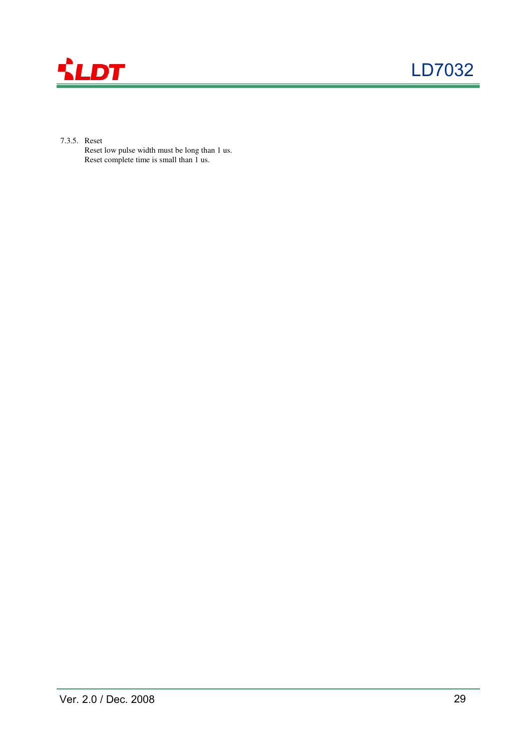

- 7.3.5. Reset
	- Reset low pulse width must be long than 1 us. Reset complete time is small than 1 us.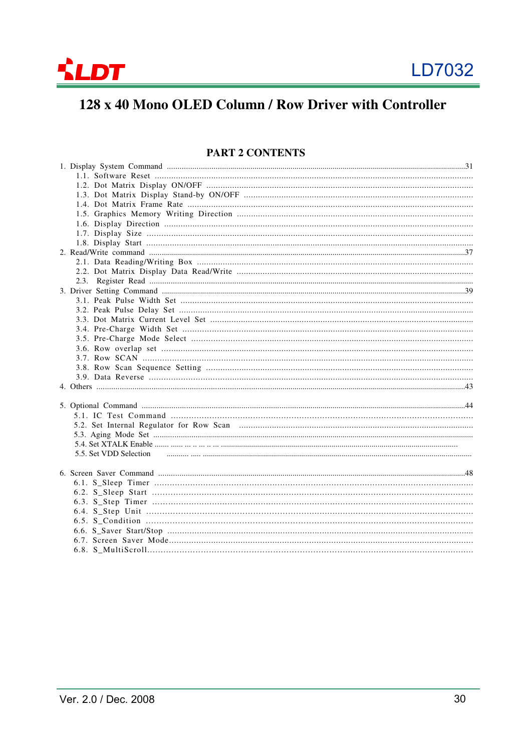

# 128 x 40 Mono OLED Column / Row Driver with Controller

### **PART 2 CONTENTS**

| 5.5. Set VDD Selection |
|------------------------|
|                        |
|                        |
|                        |
|                        |
|                        |
|                        |
|                        |
|                        |
|                        |
|                        |
|                        |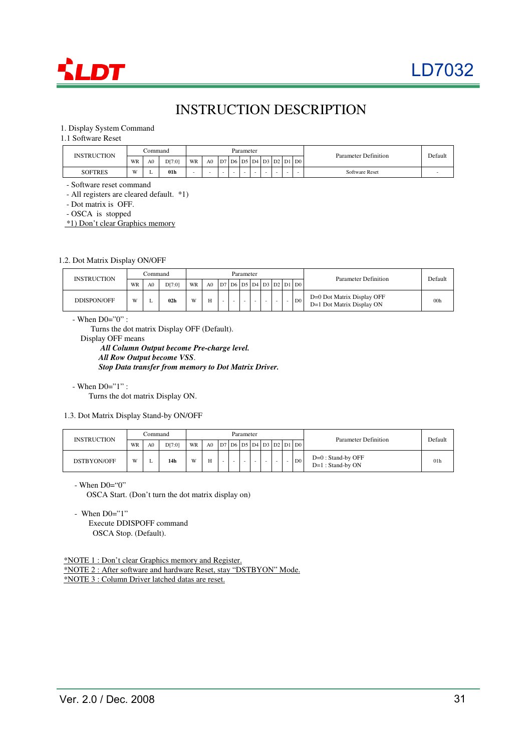

# INSTRUCTION DESCRIPTION

### 1. Display System Command

1.1 Software Reset

| <b>INSTRUCTION</b> |           | ∴ommand |                 |    |                |    |            | Parameter |        |    |        |        |                     | Parameter Definition  |  |
|--------------------|-----------|---------|-----------------|----|----------------|----|------------|-----------|--------|----|--------|--------|---------------------|-----------------------|--|
|                    | WR        | A0      | D[7:0]          | WR | A <sub>0</sub> | D7 | $D6$ D5 D4 |           |        | D3 | D2     |        | $D1$ D <sub>0</sub> |                       |  |
| <b>SOFTRES</b>     | <b>II</b> | . .     | 01 <sub>h</sub> |    |                |    | -          |           | $\sim$ |    | $\sim$ | $\sim$ | $\sim$              | <b>Software Reset</b> |  |

- Software reset command

- All registers are cleared default. \*1)

- Dot matrix is OFF.

- OSCA is stopped

\*1) Don't clear Graphics memory

1.2. Dot Matrix Display ON/OFF

| <b>INSTRUCTION</b> |    | Command        |                 |    |                |    | Parameter |  |                          |                | Parameter Definition                                    | Default         |
|--------------------|----|----------------|-----------------|----|----------------|----|-----------|--|--------------------------|----------------|---------------------------------------------------------|-----------------|
|                    | WR | A <sub>0</sub> | D[7:0]          | WR | A <sub>0</sub> | D7 |           |  |                          |                |                                                         |                 |
| DDISPON/OFF        | W  |                | 02 <sub>h</sub> | W  |                |    |           |  | $\overline{\phantom{0}}$ | D <sub>0</sub> | D=0 Dot Matrix Display OFF<br>D=1 Dot Matrix Display ON | 00 <sub>h</sub> |

- When  $D0=^{\infty}0$ " :

Turns the dot matrix Display OFF (Default).

Display OFF means

*All Column Output become Pre-charge level. All Row Output become VSS*. *Stop Data transfer from memory to Dot Matrix Driver.*

- When D0="1" :

Turns the dot matrix Display ON.

1.3. Dot Matrix Display Stand-by ON/OFF

| <b>INSTRUCTION</b> |    | Command        |        |    |                |    |   | Parameter |  |  |                                      | Parameter Definition                        | Default         |
|--------------------|----|----------------|--------|----|----------------|----|---|-----------|--|--|--------------------------------------|---------------------------------------------|-----------------|
|                    | WR | A <sub>0</sub> | D[7:0] | WR | A <sub>0</sub> | D7 |   |           |  |  | '   D6   D5   D4   D3   D2   D1   D0 |                                             |                 |
| DSTBYON/OFF        | W  |                | 14h    | W  | H              |    | - |           |  |  | D <sub>0</sub>                       | $D=0$ : Stand-by OFF<br>$D=1$ : Stand-by ON | 01 <sub>h</sub> |

 $-When$  D $0 = "0"$ 

OSCA Start. (Don't turn the dot matrix display on)

- When  $D0=$ "1"

Execute DDISPOFF command OSCA Stop. (Default).

\*NOTE 1 : Don't clear Graphics memory and Register. \*NOTE 2 : After software and hardware Reset, stay "DSTBYON" Mode. \*NOTE 3 : Column Driver latched datas are reset.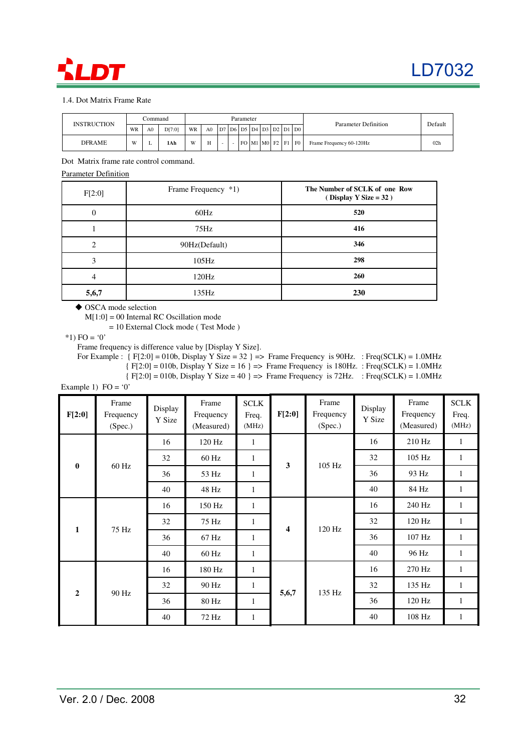# **DT**

### 1.4. Dot Matrix Frame Rate

| <b>INSTRUCTION</b> |    | Command        |       |    |                |                         | Parameter         |  |    |                | Parameter Definition     |                 |
|--------------------|----|----------------|-------|----|----------------|-------------------------|-------------------|--|----|----------------|--------------------------|-----------------|
|                    | WR | A <sub>0</sub> | DT:01 | WR | A <sub>0</sub> | D7 D6 D5 D4 D3 D2 D1 D0 |                   |  |    |                |                          | Default         |
| <b>DFRAME</b>      | W  |                | 1Ah   | W  | H              |                         | FO   M1   M0   F2 |  | F1 | F <sub>0</sub> | Frame Frequency 60-120Hz | 02 <sub>h</sub> |

Dot Matrix frame rate control command.

### Parameter Definition

| F[2:0] | Frame Frequency *1) | The Number of SCLK of one Row<br>$(Display Y Size = 32)$ |
|--------|---------------------|----------------------------------------------------------|
| 0      | 60Hz                | 520                                                      |
|        | 75Hz                | 416                                                      |
| ↑      | 90Hz(Default)       | 346                                                      |
| 3      | $105\text{Hz}$      | 298                                                      |
| 4      | 120Hz               | 260                                                      |
| 5,6,7  | $135\text{Hz}$      | 230                                                      |

◆ OSCA mode selection

M[1:0] = 00 Internal RC Oscillation mode

= 10 External Clock mode ( Test Mode )

 $*1)$  FO = '0'

Frame frequency is difference value by [Display Y Size].

For Example :  $\{ F[2:0] = 010b, \text{ Display } Y \text{ Size} = 32 \}$  => Frame Frequency is 90Hz. : Freq(SCLK) = 1.0MHz

 ${ [F[2:0] = 010b, Display Y Size = 16 ] \Rightarrow}$  Frame Frequency is 180Hz. : Freq(SCLK) = 1.0MHz

 ${ [F[2:0] = 010b, Display Y Size = 40 ] \implies$  Frame Frequency is 72Hz. : Freq(SCLK) = 1.0MHz

Example 1)  $FO = '0'$ 

| F[2:0]         | Frame<br>Frequency<br>(Spec.) | Display<br>Y Size | Frame<br>Frequency<br>(Measured) | <b>SCLK</b><br>Freq.<br>(MHz) | F[2:0] | Frame<br>Frequency<br>(Spec.) | Display<br>Y Size | Frame<br>Frequency<br>(Measured) | <b>SCLK</b><br>Freq.<br>(MHz) |
|----------------|-------------------------------|-------------------|----------------------------------|-------------------------------|--------|-------------------------------|-------------------|----------------------------------|-------------------------------|
|                |                               | 16                | 120 Hz                           | $\mathbf{1}$                  |        |                               | 16                | 210 Hz                           | $\mathbf{1}$                  |
| $\bf{0}$       |                               | 32                | $60$ Hz                          | 1                             | 3      | 105 Hz                        | 32                | 105 Hz                           | $\mathbf{1}$                  |
|                | 60 Hz                         | 36                | 53 Hz                            | $\mathbf{1}$                  |        |                               | 36                | 93 Hz                            | $\mathbf{1}$                  |
|                |                               | 40                | 48 Hz                            | $\mathbf{1}$                  |        |                               | 40                | 84 Hz                            | 1                             |
|                |                               | 16                | 150 Hz                           | $\mathbf{1}$                  |        |                               | 16                | 240 Hz                           | $\mathbf{1}$                  |
| $\mathbf{1}$   | 75 Hz                         | 32                | 75 Hz                            | 1                             | 4      | 120 Hz                        | 32                | 120 Hz                           | $\mathbf{1}$                  |
|                |                               | 36                | 67 Hz                            | 1                             |        |                               | 36                | 107 Hz                           | $\mathbf{1}$                  |
|                |                               | 40                | 60 Hz                            | $\mathbf{1}$                  |        |                               | 40                | 96 Hz                            | $\mathbf{1}$                  |
|                |                               | 16                | 180 Hz                           | 1                             |        |                               | 16                | 270 Hz                           | $\mathbf{1}$                  |
| $\overline{2}$ | 90 Hz                         | 32                | 90 Hz                            | $\mathbf{1}$                  |        | 135 Hz                        | 32                | 135 Hz                           | $\mathbf{1}$                  |
|                |                               | 36<br>80 Hz       |                                  | 1                             | 5,6,7  |                               | 36                | 120 Hz                           | $\mathbf{1}$                  |
|                |                               | 40                | 72 Hz                            | $\mathbf{1}$                  |        |                               | 40                | 108 Hz                           | $\mathbf{1}$                  |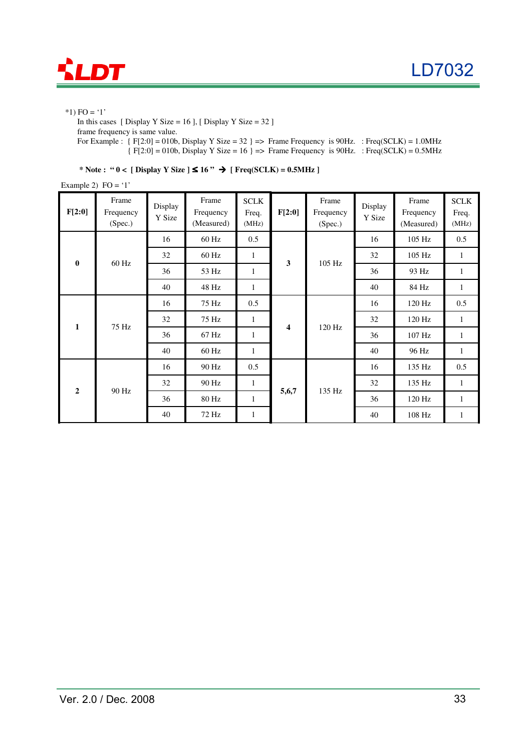

 $*1)$  FO = '1'

In this cases [ Display Y Size = 16 ], [ Display Y Size = 32 ] frame frequency is same value. For Example :  $\{ F[2:0] = 010b, \text{ Display Y Size} = 32 \} \implies \text{Frame Frequency is 90Hz. : } \text{Freq}(\text{SCLK}) = 1.0 \text{MHz}$ 

 ${ [F[2:0] = 010b, Display Y Size = 16 ] \Rightarrow Frame Frequency is 90Hz. : Freq(SCLK) = 0.5MHz}$ 

\* Note : " $0 <$  [ Display Y Size ]  $\leq 16$ "  $\rightarrow$  [ Freq(SCLK) = 0.5MHz ]

Example 2)  $FO = '1'$ 

| F[2:0]         | Frame<br>Frequency<br>(Spec.) | Display<br>Y Size | Frame<br>Frequency<br>(Measured) | <b>SCLK</b><br>Freq.<br>(MHz) | F[2:0] | Frame<br>Frequency<br>(Spec.) | Display<br>Y Size | Frame<br>Frequency<br>(Measured) | <b>SCLK</b><br>Freq.<br>(MHz) |
|----------------|-------------------------------|-------------------|----------------------------------|-------------------------------|--------|-------------------------------|-------------------|----------------------------------|-------------------------------|
|                |                               | 16                | $60$ Hz                          | 0.5                           |        |                               | 16                | $105$ Hz                         | 0.5                           |
| $\bf{0}$       | 60 Hz                         | 32                | 60 Hz                            | $\mathbf{1}$                  | 3      | 105 Hz                        | 32                | 105 Hz                           | 1                             |
|                |                               | 36                | 53 Hz                            | $\mathbf{1}$                  |        |                               | 36                | 93 Hz                            | -1                            |
|                |                               | 40                | 48 Hz                            | $\mathbf{1}$                  |        |                               | 40                | 84 Hz                            | $\mathbf{1}$                  |
|                |                               | 16                | 75 Hz                            | 0.5                           |        |                               | 16                | 120 Hz                           | 0.5                           |
| $\mathbf{1}$   | 75 Hz                         | 32                | 75 Hz                            | $\mathbf{1}$                  | 4      | 120 Hz                        | 32                | 120 Hz                           | 1                             |
|                |                               | 36                | 67 Hz                            | 1                             |        |                               | 36                | 107 Hz                           | 1                             |
|                |                               | 40                | 60 Hz                            | 1                             |        |                               | 40                | 96 Hz                            | $\mathbf{1}$                  |
|                |                               | 16                | 90 Hz                            | 0.5                           |        |                               | 16                | 135 Hz                           | 0.5                           |
| $\overline{2}$ |                               | 32                | 90 Hz                            | $\mathbf{1}$                  |        | 135 Hz                        | 32                | 135 Hz                           | -1                            |
|                | 90 Hz<br>36                   |                   | 80 Hz                            | 1                             | 5,6,7  |                               | 36                | 120 Hz                           | $\mathbf{1}$                  |
|                |                               | 40                | 72 Hz                            | $\mathbf{1}$                  |        |                               | 40                | 108 Hz                           | 1                             |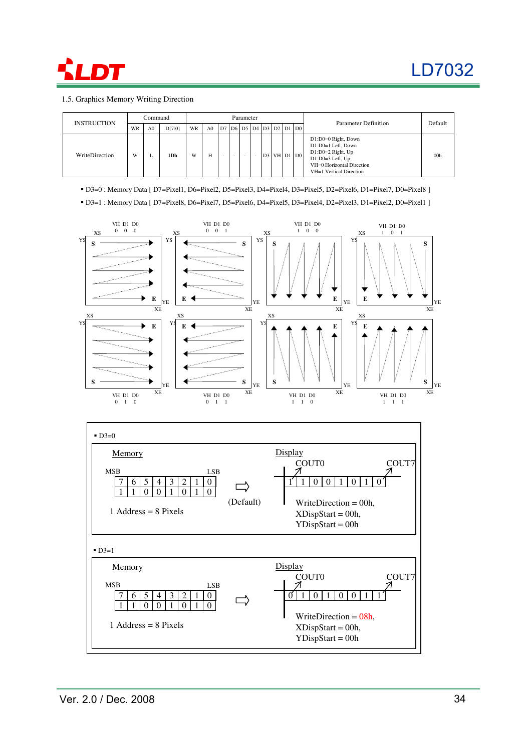

### 1.5. Graphics Memory Writing Direction

| <b>INSTRUCTION</b> |           | Command        |        |    |                |  | Parameter |                                       |  |                   | Parameter Definition                                                                                                                           | Default         |
|--------------------|-----------|----------------|--------|----|----------------|--|-----------|---------------------------------------|--|-------------------|------------------------------------------------------------------------------------------------------------------------------------------------|-----------------|
|                    | <b>WR</b> | A <sub>0</sub> | D[7:0] | WR | A <sub>0</sub> |  |           | D7   D6   D5   D4   D3   D2   D1   D0 |  |                   |                                                                                                                                                |                 |
| WriteDirection     | W         |                | 1Dh    | W  | н              |  |           |                                       |  | $D3$ VH $D1$ $D0$ | D1:D0=0 Right, Down<br>D1:D0=1 Left, Down<br>$D1:DO=2$ Right, Up<br>$D1:D0=3$ Left, Up<br>VH=0 Horizontal Direction<br>VH=1 Vertical Direction | 00 <sub>h</sub> |

D3=0 : Memory Data [ D7=Pixel1, D6=Pixel2, D5=Pixel3, D4=Pixel4, D3=Pixel5, D2=Pixel6, D1=Pixel7, D0=Pixel8 ]

D3=1 : Memory Data [ D7=Pixel8, D6=Pixel7, D5=Pixel6, D4=Pixel5, D3=Pixel4, D2=Pixel3, D1=Pixel2, D0=Pixel1 ]

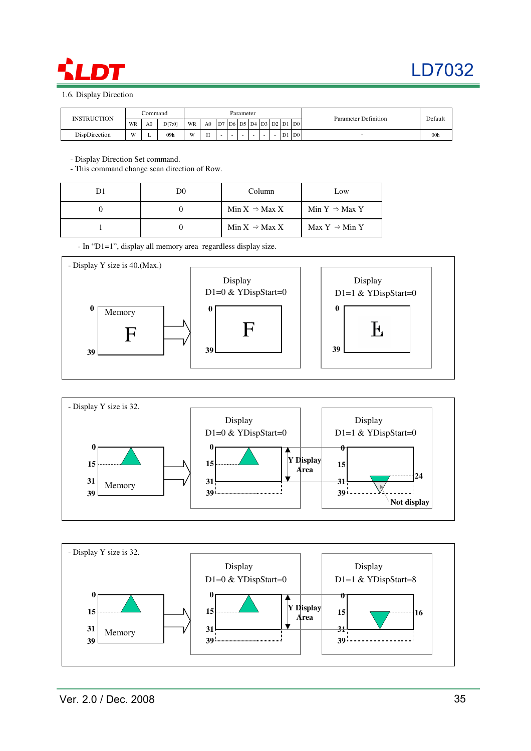

1.6. Display Direction

| <b>INSTRUCTION</b> |    | Command        |        |    |                |                          |        | Parameter |  |    |                                  | Parameter Definition |                 |
|--------------------|----|----------------|--------|----|----------------|--------------------------|--------|-----------|--|----|----------------------------------|----------------------|-----------------|
|                    | WR | A <sub>0</sub> | D[7:0] | WR | A <sub>0</sub> | 1D7'                     |        |           |  |    | D6   D5   D4   D3   D2   D1   D0 |                      | Default         |
| DispDirection      | W  |                | 09h    | W  | <b>TT</b>      | $\overline{\phantom{0}}$ | $\sim$ |           |  | D1 | D <sub>0</sub>                   |                      | 00 <sub>h</sub> |

- Display Direction Set command.

- This command change scan direction of Row.

| D0 | Column                    | Low                       |
|----|---------------------------|---------------------------|
|    | Min $X \Rightarrow$ Max X | Min $Y \Rightarrow$ Max Y |
|    | Min $X \Rightarrow$ Max X | Max $Y \Rightarrow$ Min Y |

- In "D1=1", display all memory area regardless display size.





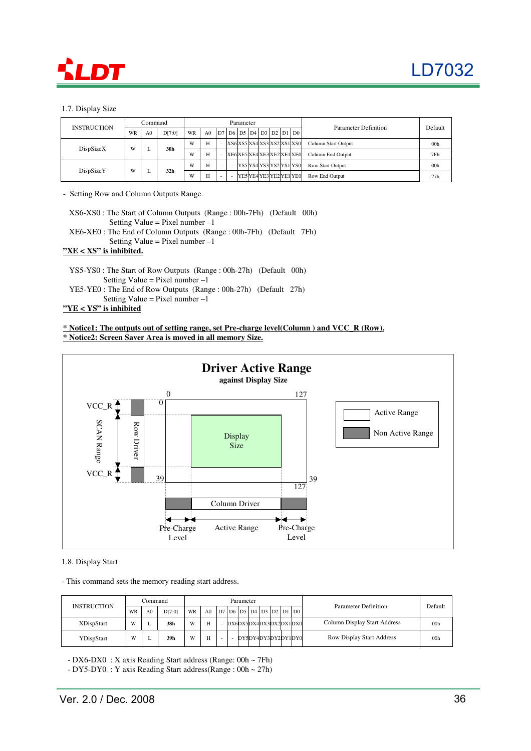

### 1.7. Display Size

|                    |    | Command         |        |    |                |                | Parameter |  |                         |                                  | Parameter Definition | Default         |
|--------------------|----|-----------------|--------|----|----------------|----------------|-----------|--|-------------------------|----------------------------------|----------------------|-----------------|
| <b>INSTRUCTION</b> | WR | A0              | D[7:0] | WR | A <sub>0</sub> | D <sub>7</sub> |           |  |                         | D6   D5   D4   D3   D2   D1   D0 |                      |                 |
|                    |    |                 | 30h    | W  | H              |                |           |  |                         | XS6XS5XS4XS3XS2XS1XS0            | Column Start Output  | 00 <sub>h</sub> |
| DispSizeX<br>W     |    |                 | W      | H  |                |                |           |  | XE6XE5XE4XE3XE2XE1XE0   | Column End Output                | 7Fh                  |                 |
|                    |    |                 |        | W  | H              | -              |           |  |                         | lYS5lYS4lYS3lYS2lYS1lYS0l        | Row Start Output     | 00 <sub>h</sub> |
| DispSizeY          | W  | 32 <sub>h</sub> | W      | H  |                |                |           |  | YE5 YE4 YE3 YE2 YE1 YE0 | Row End Output                   | 27h                  |                 |

- Setting Row and Column Outputs Range.

| $X$ S6-XS0 : The Start of Column Outputs (Range : 00h-7Fh) (Default 00h) |  |
|--------------------------------------------------------------------------|--|
| Setting Value = Pixel number $-1$                                        |  |
| $XE6-XE0$ : The End of Column Outputs (Range: 00h-7Fh) (Default 7Fh)     |  |

Setting Value = Pixel number  $-1$ 

### **"XE < XS" is inhibited.**

- YS5-YS0 : The Start of Row Outputs (Range : 00h-27h) (Default 00h) Setting Value = Pixel number  $-1$ YE5-YE0 : The End of Row Outputs (Range : 00h-27h) (Default 27h)
- Setting Value = Pixel number  $-1$

### **"YE < YS" is inhibited**

### **\* Notice1: The outputs out of setting range, set Pre-charge level(Column ) and VCC\_R (Row). \* Notice2: Screen Saver Area is moved in all memory Size.**



### 1.8. Display Start

- This command sets the memory reading start address.

| <b>INSTRUCTION</b> |    | Command        |        |    |                |  | Parameter |  |                       |  | Parameter Definition             | Default         |
|--------------------|----|----------------|--------|----|----------------|--|-----------|--|-----------------------|--|----------------------------------|-----------------|
|                    | WR | A <sub>0</sub> | D[7:0] | WR | A <sub>0</sub> |  |           |  |                       |  |                                  |                 |
| <b>XDispStart</b>  | W  |                | 38h    | W  | H              |  |           |  | DX6DX5DX4DX3DX2DX1DX0 |  | Column Display Start Address     | 00 <sub>h</sub> |
| YDispStart         | W  |                | 39h    | W  | H              |  |           |  | DY5DY4DY3DY2DY1DY0    |  | <b>Row Display Start Address</b> | 00 <sub>h</sub> |

- DX6-DX0 : X axis Reading Start address (Range: 00h ~ 7Fh)

- DY5-DY0 : Y axis Reading Start address(Range :  $00h \sim 27h$ )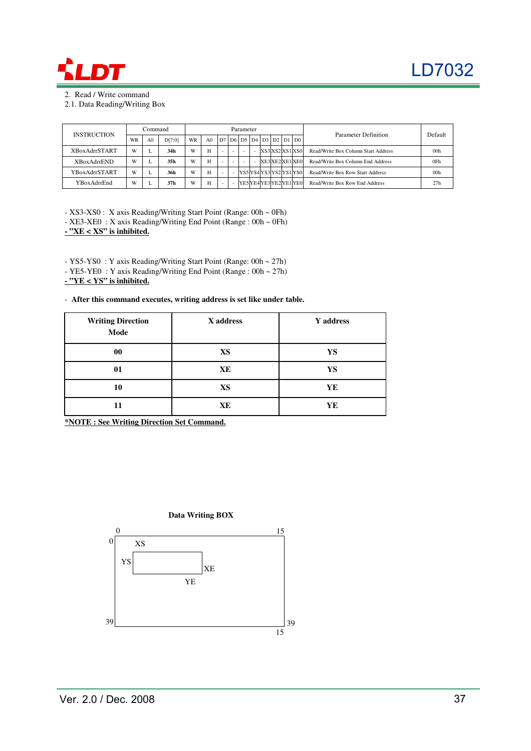

2. Read / Write command

2.1. Data Reading/Writing Box

| <b>INSTRUCTION</b>   | Command |    |        |           |                |    | Parameter                        |  |                 |  | Parameter Definition                | Default         |
|----------------------|---------|----|--------|-----------|----------------|----|----------------------------------|--|-----------------|--|-------------------------------------|-----------------|
|                      | WR      | A0 | D[7:0] | <b>WR</b> | A <sub>0</sub> | D7 | D6   D5   D4   D3   D2   D1   D0 |  |                 |  |                                     |                 |
| <b>XBoxAdrrSTART</b> | W       |    | 34h    | W         | Н              |    |                                  |  | XS3 XS2 XS1 XS0 |  | Read/Write Box Column Start Address | 00 <sub>h</sub> |
| <b>XBoxAdrrEND</b>   | W       |    | 35h    | W         | H              |    |                                  |  | XE3 XE2 XE1 XE0 |  | Read/Write Box Column End Address   | 0Fh             |
| YBoxAdrrSTART        | W       |    | 36h    | W         | H              |    | YS5 YS4 YS3 YS2 YS1 YS0          |  |                 |  | Read/Write Box Row Start Address    | 00h             |
| YBoxAdrrEnd          | W       |    | 37h    | W         | Н              |    | YE5 YE4 YE3 YE2 YE1 YE0          |  |                 |  | Read/Write Box Row End Address      | 27h             |

- XS3-XS0 : X axis Reading/Writing Start Point (Range: 00h ~ 0Fh) - XE3-XE0 : X axis Reading/Writing End Point (Range :  $00h \sim 0Fh$ )

**- "XE < XS" is inhibited.**

- YS5-YS0 : Y axis Reading/Writing Start Point (Range: 00h ~ 27h)

- YE5-YE0 : Y axis Reading/Writing End Point (Range : 00h ~ 27h)

**- "YE < YS" is inhibited.**

- **After this command executes, writing address is set like under table.**

| <b>Writing Direction</b><br>Mode | X address | Y address |
|----------------------------------|-----------|-----------|
| 00                               | <b>XS</b> | YS        |
| 01                               | XE        | YS        |
| 10                               | <b>XS</b> | YE        |
| 11                               | XE        | YE        |

**\*NOTE : See Writing Direction Set Command.**

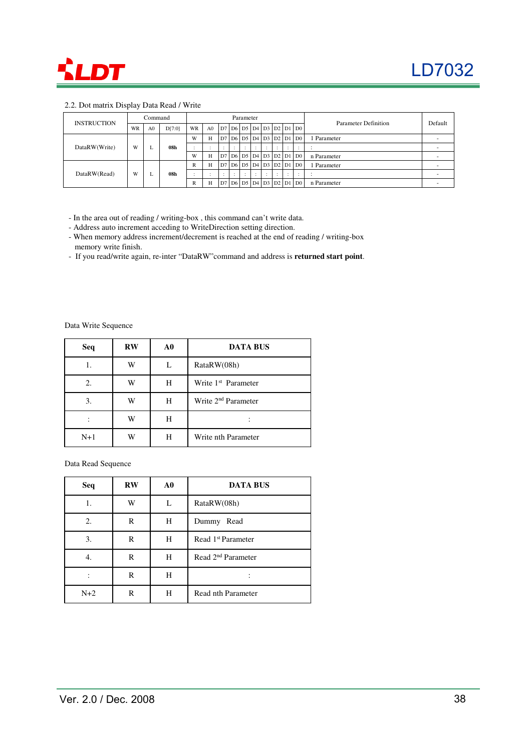

### 2.2. Dot matrix Display Data Read / Write

|                    |        | Command        |        |    |                |                |     | Parameter                        |            |                                 |           |                     |                      |         |
|--------------------|--------|----------------|--------|----|----------------|----------------|-----|----------------------------------|------------|---------------------------------|-----------|---------------------|----------------------|---------|
| <b>INSTRUCTION</b> | WR     | A <sub>0</sub> | D[7:0] | WR | A <sub>0</sub> | D7             |     | D6   D5   D4   D3   D2   D1   D0 |            |                                 |           |                     | Parameter Definition | Default |
|                    |        |                |        | W  | H              | D <sub>7</sub> |     | D6   D5   D4   D3   D2   D1   D0 |            |                                 |           |                     | . Parameter          |         |
| DataRW(Write)      | W<br>⊷ |                | 08h    |    | $\cdot$        |                | . . |                                  |            | . .                             | $\bullet$ | $\cdot$<br>$\cdot$  |                      |         |
|                    |        |                |        | W  | H              | D <sub>7</sub> |     | D6   D5   D4   D3   D2   D1   D0 |            |                                 |           |                     | n Parameter          |         |
|                    |        |                |        | R  | H              | D <sub>7</sub> |     | D6   D5   D4   D3   D2   D1      |            |                                 |           | D <sub>0</sub>      | Parameter            |         |
| DataRW(Read)       | W      | ⊷              | 08h    |    | <br>$\cdot$    | . .            | . . | $\cdot$                          | <br>$\sim$ | $\overline{\phantom{a}}$<br>. . | . .       | $\cdot$<br>. .      |                      |         |
|                    |        |                |        | R  | H              | D <sub>7</sub> |     | D6   D5   D4   D3   D2           |            |                                 |           | $DI$ D <sub>0</sub> | n Parameter          |         |

- In the area out of reading / writing-box , this command can't write data.

- Address auto increment acceding to WriteDirection setting direction.

- When memory address increment/decrement is reached at the end of reading / writing-box memory write finish.

- If you read/write again, re-inter "DataRW"command and address is **returned start point**.

Data Write Sequence

| Seq   | <b>RW</b> | A0 | <b>DATA BUS</b>                 |
|-------|-----------|----|---------------------------------|
|       | W         |    | RataRW(08h)                     |
| 2.    | W         | Н  | Write 1 <sup>st</sup> Parameter |
| 3.    | W         | Н  | Write 2 <sup>nd</sup> Parameter |
|       | W         | Н  |                                 |
| $N+1$ | W         | H  | Write nth Parameter             |

Data Read Sequence

| Seq   | $\mathbf{R}\mathbf{W}$ | ${\bf A0}$ | <b>DATA BUS</b>                |
|-------|------------------------|------------|--------------------------------|
| 1.    | W                      | L          | RataRW(08h)                    |
| 2.    | R                      | Н          | Dummy Read                     |
| 3.    | R                      | H          | Read 1 <sup>st</sup> Parameter |
|       | R                      | Н          | Read 2 <sup>nd</sup> Parameter |
|       | R                      | Н          |                                |
| $N+2$ | R                      | H          | Read nth Parameter             |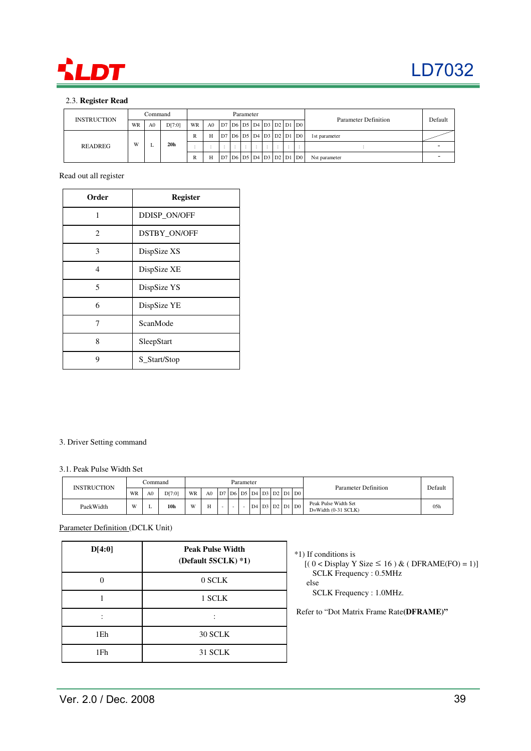

### 2.3. **Register Read**

| <b>INSTRUCTION</b> |    | Command        |                 |    |                |  | Parameter |  |        |                                       | Parameter Definition | Default |
|--------------------|----|----------------|-----------------|----|----------------|--|-----------|--|--------|---------------------------------------|----------------------|---------|
|                    | WR | A <sub>0</sub> | D[7:0]          | WR | A <sub>0</sub> |  |           |  |        | D7   D6   D5   D4   D3   D2   D1   D0 |                      |         |
|                    |    |                |                 | R  | H              |  |           |  |        | D7   D6   D5   D4   D3   D2   D1   D0 | 1st parameter        |         |
| READREG            | W  |                | 20 <sub>h</sub> |    |                |  |           |  | $\sim$ | $\sim$                                |                      |         |
|                    |    |                |                 | R  | H              |  |           |  |        | D7 D6 D5 D4 D3 D2 D1 D0               | Nst parameter        |         |

Read out all register

| Order                       | <b>Register</b> |
|-----------------------------|-----------------|
| 1                           | DDISP_ON/OFF    |
| $\mathcal{D}_{\mathcal{L}}$ | DSTBY_ON/OFF    |
| 3                           | DispSize XS     |
| $\overline{4}$              | DispSize XE     |
| 5                           | DispSize YS     |
| 6                           | DispSize YE     |
| 7                           | ScanMode        |
| 8                           | SleepStart      |
| 9                           | S_Start/Stop    |

### 3. Driver Setting command

### 3.1. Peak Pulse Width Set

| <b>INSTRUCTION</b> |              | ∴ommand        |        |    |                |        | Parameter |  |  |                             | Parameter Definition                          |                 |
|--------------------|--------------|----------------|--------|----|----------------|--------|-----------|--|--|-----------------------------|-----------------------------------------------|-----------------|
|                    | WR           | A <sub>0</sub> | D[7:0] | WR | A <sub>0</sub> |        |           |  |  | $ D7 D6 D5 D4 D3 D2 D1 D0 $ |                                               | Default         |
| PaekWidth          | $\mathbf{W}$ |                | 10h    | W  | H              | $\sim$ |           |  |  | D4   D3   D2   D1   D0      | Peak Pulse Width Set<br>$D=Width (0-31 SCLK)$ | 05 <sub>h</sub> |

Parameter Definition (DCLK Unit)

| D[4:0]          | <b>Peak Pulse Width</b><br>(Default 5SCLK) *1) |
|-----------------|------------------------------------------------|
|                 | 0 SCLK                                         |
|                 | 1 SCLK                                         |
|                 |                                                |
| 1Eh             | 30 SCLK                                        |
| 1F <sub>h</sub> | 31 SCLK                                        |

- \*1) If conditions is
	- $[(0 <$  Display Y Size  $\leq 16)$  & (DFRAME(FO) = 1)] SCLK Frequency : 0.5MHz
		- else SCLK Frequency : 1.0MHz.

Refer to "Dot Matrix Frame Rate**(DFRAME)"**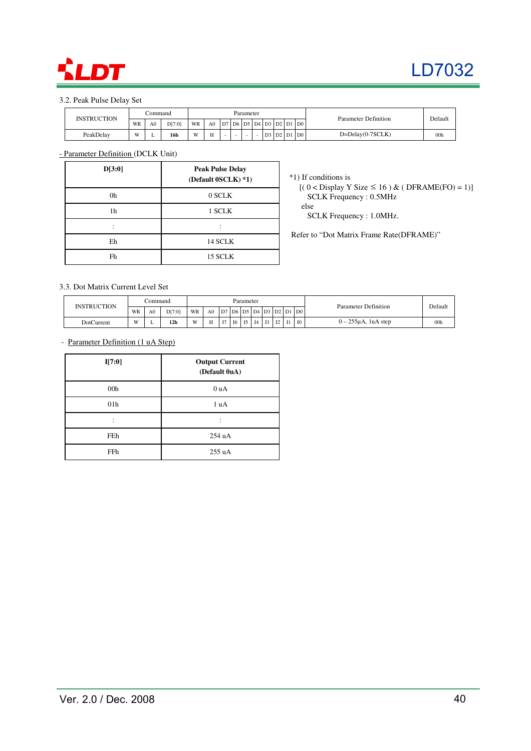

### 3.2. Peak Pulse Delay Set

| <b>INSTRUCTION</b> |    | ∴ommand        |        |    |                  |                   | Parameter |    |                |    |                | Parameter Definition | Defaul.         |
|--------------------|----|----------------|--------|----|------------------|-------------------|-----------|----|----------------|----|----------------|----------------------|-----------------|
|                    | WR | A <sub>0</sub> | D[7:0] | WR | A <sub>0</sub>   | D7 D6 D5 D4 D3 D2 |           |    |                | D1 | D <sub>0</sub> |                      |                 |
| PeakDelay          | W  |                | 16h    | W  | $\mathbf{v}$<br> | $\sim$            | $\sim$    | D3 | D <sub>2</sub> | D1 | D <sub>0</sub> | $D = Delay(0-7SCLK)$ | 00 <sub>h</sub> |

- Parameter Definition (DCLK Unit)

| D[3:0] | <b>Peak Pulse Delay</b><br>(Default 0SCLK) *1) |
|--------|------------------------------------------------|
| 0h     | 0 SCLK                                         |
| 1h     | 1 SCLK                                         |
|        |                                                |
| Eh     | 14 SCLK                                        |
| Fh     | 15 SCLK                                        |

\*1) If conditions is

 $[(0 <$  Display Y Size  $\leq 16$ ) & (DFRAME(FO) = 1)] SCLK Frequency : 0.5MHz

else

SCLK Frequency : 1.0MHz.

Refer to "Dot Matrix Frame Rate(DFRAME)"

### 3.3. Dot Matrix Current Level Set

|             |    | `ommand        |                 |    |                |   |    | Parameter |    |                |              |           |                             | Parameter Definition     | Default         |
|-------------|----|----------------|-----------------|----|----------------|---|----|-----------|----|----------------|--------------|-----------|-----------------------------|--------------------------|-----------------|
| INSTRUCTION | WR | A <sub>0</sub> | D[7:0]          | WR | A <sub>0</sub> |   |    |           |    |                |              |           | $ D7 D6 D5 D4 D3 D2 D1 D0 $ |                          |                 |
| DotCurrent  | W  |                | 12 <sub>h</sub> | W  | H              | T | I6 | 15        | I4 | T <sub>2</sub> | $T^{\prime}$ | <b>I1</b> | <b>IO</b>                   | $0 - 255\mu$ A, 1uA step | 00 <sub>h</sub> |

- Parameter Definition (1 uA Step)

| I[7:0]          | <b>Output Current</b><br>(Default 0uA) |
|-----------------|----------------------------------------|
| 00 <sub>h</sub> | 0 uA                                   |
| 01 <sub>h</sub> | 1 uA                                   |
| ٠               |                                        |
| FEh             | 254 uA                                 |
| FFh             | 255 uA                                 |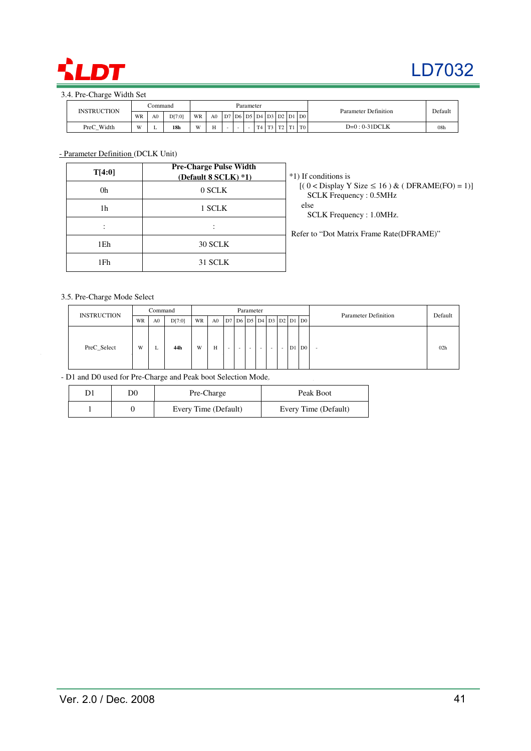

# LD7032

### 3.4. Pre-Charge Width Set

| INSTRUCTION |    | ⊃ommand        |                 | Parameter |    |    |  |  |                |              |    |                |                                      | Parameter Definition | Default         |
|-------------|----|----------------|-----------------|-----------|----|----|--|--|----------------|--------------|----|----------------|--------------------------------------|----------------------|-----------------|
|             | WR | A <sub>0</sub> | D[7:0]          | WR        | A0 | D7 |  |  |                |              |    |                | 7   D6   D5   D4   D3   D2   D1   D0 |                      |                 |
| PreC_Width  | w  | -              | 18 <sub>h</sub> | W         |    |    |  |  | T <sub>1</sub> | $\mathbf{m}$ | ma | T <sub>1</sub> | T <sub>0</sub>                       | $D=0:0-31DCLK$       | 08 <sub>h</sub> |

### - Parameter Definition (DCLK Unit)

| T[4:0]          | <b>Pre-Charge Pulse Width</b><br>(Default 8 SCLK) *1) | *1) If conditions is                                                              |
|-----------------|-------------------------------------------------------|-----------------------------------------------------------------------------------|
| 0h              | 0 SCLK                                                | $[(0 Display Y Size \le 16) & (DFRAME(FO) = 1)]$<br><b>SCLK Frequency: 0.5MHz</b> |
| 1h              | 1 SCLK                                                | else<br>SCLK Frequency : 1.0MHz.                                                  |
|                 |                                                       | Refer to "Dot Matrix Frame Rate(DFRAME)"                                          |
| 1Eh             | 30 SCLK                                               |                                                                                   |
| 1F <sub>h</sub> | 31 SCLK                                               |                                                                                   |

### 3.5. Pre-Charge Mode Select

 $\bar{z}$ 

| <b>INSTRUCTION</b> |    | Command        |        |    |                |        |        | Parameter |   |                          |                                       | <b>Parameter Definition</b> | Default |
|--------------------|----|----------------|--------|----|----------------|--------|--------|-----------|---|--------------------------|---------------------------------------|-----------------------------|---------|
|                    | WR | A <sub>0</sub> | D[7:0] | WR | A <sub>0</sub> |        |        |           |   |                          | D7   D6   D5   D4   D3   D2   D1   D0 |                             |         |
| PreC_Select        | W  | ∸              | 44h    | W  | H              | $\sim$ | $\sim$ | $\sim$    | - | $\overline{\phantom{a}}$ | D1 D0                                 | -                           | 02h     |

- D1 and D0 used for Pre-Charge and Peak boot Selection Mode.

| D0 | Pre-Charge           | Peak Boot            |
|----|----------------------|----------------------|
|    | Every Time (Default) | Every Time (Default) |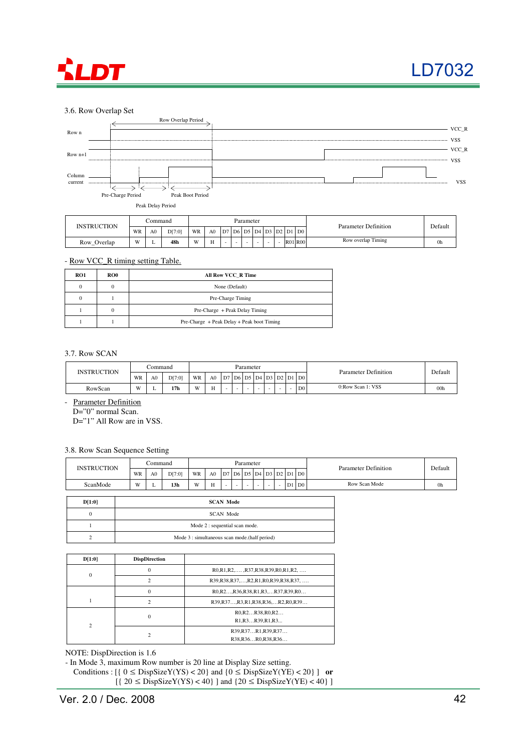



### 3.6. Row Overlap Set



Row\_Overlap W L 48h W H - - - - R01 R00 Row overlap Timing 0h

### - Row VCC\_R timing setting Table.

| RO1          | RO0 | All Row VCC R Time                         |
|--------------|-----|--------------------------------------------|
| $\mathbf{0}$ |     | None (Default)                             |
| $\mathbf{0}$ |     | Pre-Charge Timing                          |
|              |     | Pre-Charge + Peak Delay Timing             |
|              |     | Pre-Charge + Peak Delay + Peak boot Timing |

#### 3.7. Row SCAN

| <b>INSTRUCTION</b> |    | .`ommand       |                 |    | Parameter |    |  |        |                          |  |        |                                  | Parameter Definition | Default         |
|--------------------|----|----------------|-----------------|----|-----------|----|--|--------|--------------------------|--|--------|----------------------------------|----------------------|-----------------|
|                    | WR | A <sub>0</sub> | D[7:0]          | WR | A0        | D7 |  |        |                          |  |        | D6   D5   D4   D3   D2   D1   D0 |                      |                 |
| RowScan            | W  |                | 17 <sub>h</sub> | W  | ц<br>     | -  |  | $\sim$ | $\overline{\phantom{0}}$ |  | $\sim$ | D0 <sub>1</sub>                  | 0:Row Scan 1: VSS    | 00 <sub>h</sub> |

- Parameter Definition

D="0" normal Scan.

D="1" All Row are in VSS.

### 3.8. Row Scan Sequence Setting

| <b>INSTRUCTION</b> |    | .`ommand |                 |    | Parameter      |    |                          |        |  |  |              |                          | Parameter Definition | Default |
|--------------------|----|----------|-----------------|----|----------------|----|--------------------------|--------|--|--|--------------|--------------------------|----------------------|---------|
|                    | WR | A0       | D[7:0]          | WR | A <sub>0</sub> | D7 |                          |        |  |  |              | $ D6 D5 D4 D3 D2 D1 D0 $ |                      |         |
| ScanMode           | W  |          | 13 <sub>h</sub> | W  |                | -  | $\overline{\phantom{a}}$ | $\sim$ |  |  | $\mathbf{D}$ | $D1$ D <sub>0</sub>      | Row Scan Mode        | 0h      |

| D[1:0] | <b>SCAN Mode</b>                              |
|--------|-----------------------------------------------|
|        | SCAN Mode                                     |
|        | Mode 2 : sequential scan mode.                |
|        | Mode 3 : simultaneous scan mode.(half period) |

| D[1:0]         | <b>DispDirection</b> |                                                                                                  |
|----------------|----------------------|--------------------------------------------------------------------------------------------------|
| $\mathbf{0}$   | 0                    | R0,R1,R2,,,R37,R38,R39,R0,R1,R2,                                                                 |
|                | $\mathcal{P}$        | R39,R38,R37,,R2,R1,R0,R39,R38,R37,                                                               |
|                | $\Omega$             | R0, R2, R36, R38, R1, R3,  R37, R39, R0                                                          |
|                | $\mathcal{P}$        | R39,R37,R3,R1,R38,R36,R2,R0,R39                                                                  |
| $\overline{c}$ | $\Omega$             | RO.R2R38.RO.R2<br>R <sub>1</sub> ,R <sub>3</sub> R <sub>39</sub> ,R <sub>1</sub> ,R <sub>3</sub> |
|                |                      | R39, R37R1, R39, R37<br>R38, R36R0, R38, R36                                                     |

NOTE: DispDirection is 1.6

- In Mode 3, maximum Row number is 20 line at Display Size setting.

Conditions :  $[$ { 0 ≤ DispSizeY(YS) < 20} and {0 ≤ DispSizeY(YE) < 20} ] **or**  $[$ { 20 ≤ DispSizeY(YS) < 40} ] and {20 ≤ DispSizeY(YE) < 40} ]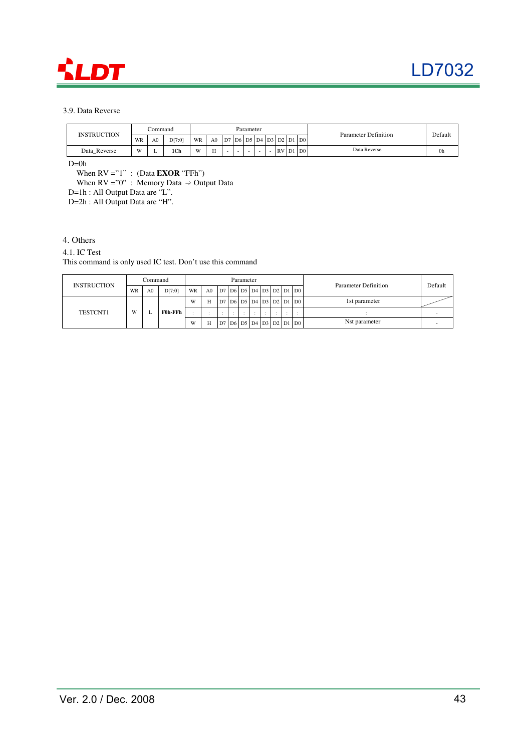

### 3.9. Data Reverse

| <b>INSTRUCTION</b> | .`ommand |                |       |    |                  |                          | Parameter |  |                                 |                | Parameter Definition | Default |
|--------------------|----------|----------------|-------|----|------------------|--------------------------|-----------|--|---------------------------------|----------------|----------------------|---------|
|                    | WR       | A <sub>0</sub> | DT:01 | WR | A <sub>0</sub>   | D7                       |           |  | '   D6   D5   D4   D3   D2   D1 | D <sub>0</sub> |                      |         |
| Data Reverse       | W)       | -              | 1Ch   | W  | $\mathbf{v}$<br> | $\overline{\phantom{a}}$ |           |  | $RV$ D1                         | D <sub>0</sub> | Data Reverse         | 0h      |

 $D=0h$ 

When RV ="1" : (Data **EXOR** "FFh")

When  $RV = "0"$ : Memory Data  $\Rightarrow$  Output Data

D=1h : All Output Data are "L".

D=2h : All Output Data are "H".

### 4. Others

### 4.1. IC Test

This command is only used IC test. Don't use this command

| <b>INSTRUCTION</b> |    | Command |         |    |                |  | Parameter |                                       |         |        | Parameter Definition | Default |
|--------------------|----|---------|---------|----|----------------|--|-----------|---------------------------------------|---------|--------|----------------------|---------|
|                    | WR | A0      | D[7:0]  | WR | A <sub>0</sub> |  |           | D7   D6   D5   D4   D3   D2   D1   D0 |         |        |                      |         |
|                    |    |         |         | W  | Н              |  |           | D7   D6   D5   D4   D3   D2   D1   D0 |         |        | 1st parameter        |         |
| TESTCNT1           | W  |         | F0h-FFh |    |                |  |           |                                       | $\cdot$ | $\sim$ |                      |         |
|                    |    |         |         | W  | H              |  |           | D7   D6   D5   D4   D3   D2   D1   D0 |         |        | Nst parameter        |         |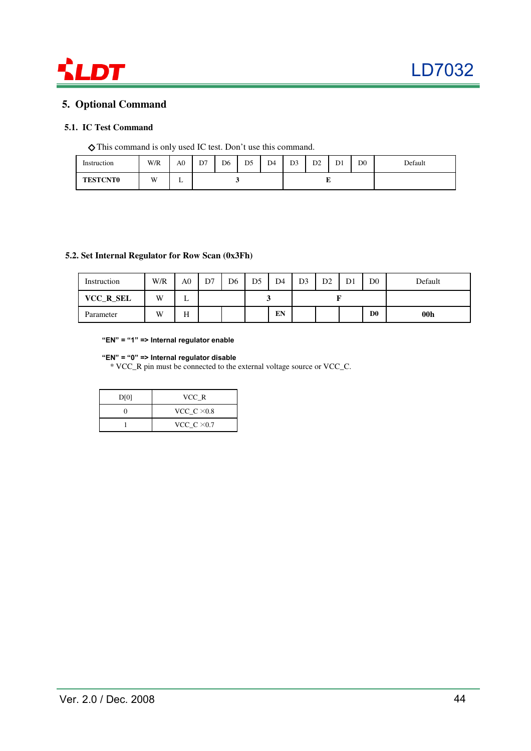

### **5. Optional Command**

### **5.1. IC Test Command**

◇ This command is only used IC test. Don't use this command.

| Instruction     | W/R | A <sub>0</sub> | D7 | D6 | D <sub>5</sub> | D <sub>4</sub> | D <sub>3</sub> | D2 | D <sub>1</sub> | D <sub>0</sub> | Default |
|-----------------|-----|----------------|----|----|----------------|----------------|----------------|----|----------------|----------------|---------|
| <b>TESTCNT0</b> | W.  | . .            |    |    |                |                |                | ., |                |                |         |

### **5.2. Set Internal Regulator for Row Scan (0x3Fh)**

| Instruction | W/R | A0 | D7 | D <sub>6</sub> | D5 | D <sub>4</sub> | D <sub>3</sub> | D2 | D0             | Default |
|-------------|-----|----|----|----------------|----|----------------|----------------|----|----------------|---------|
| VCC_R_SEL   | W   | ∸  |    |                |    |                |                |    |                |         |
| Parameter   | W   | Н  |    |                |    | EN             |                |    | D <sub>0</sub> | 00h     |

"EN" = "1" => Internal regulator enable

### "EN" = "0" => Internal regulator disable

\* VCC\_R pin must be connected to the external voltage source or VCC\_C.

| D[0] | VCC R              |
|------|--------------------|
|      | VCC_C $\times$ 0.8 |
|      | VCC_C $\times$ 0.7 |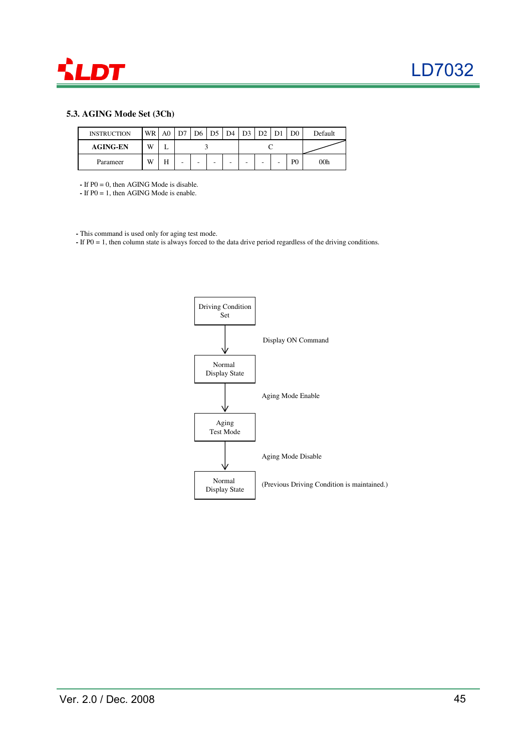

### **5.3. AGING Mode Set (3Ch)**

| <b>INSTRUCTION</b> | WR | A <sub>0</sub> | D7 | D6 | $D5$ D <sub>4</sub> | D <sub>3</sub> | D <sub>2</sub> |   |                | Default |
|--------------------|----|----------------|----|----|---------------------|----------------|----------------|---|----------------|---------|
| <b>AGING-EN</b>    | W  |                |    |    |                     |                |                |   |                |         |
| Parameer           | W  | Н              | -  |    | -                   | -              | -              | - | P <sub>0</sub> | 00h     |

**-** If P0 = 0, then AGING Mode is disable.

**-** If P0 = 1, then AGING Mode is enable.

**-** This command is used only for aging test mode.

**-** If P0 = 1, then column state is always forced to the data drive period regardless of the driving conditions.

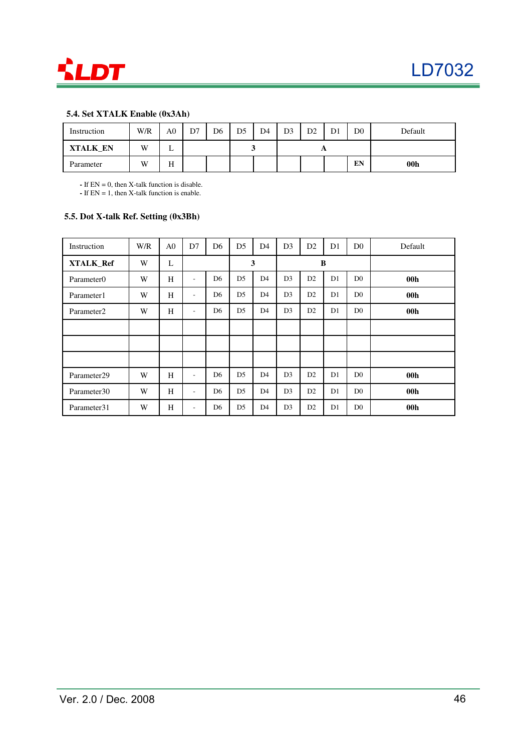

### **5.4. Set XTALK Enable (0x3Ah)**

| Instruction     | W/R | A <sub>0</sub> | D7 | D6 | D <sub>5</sub> | D4 | D <sub>3</sub> | D <sub>2</sub> | D1 | D <sub>0</sub> | Default         |
|-----------------|-----|----------------|----|----|----------------|----|----------------|----------------|----|----------------|-----------------|
| <b>XTALK EN</b> | W   | ∸              |    |    |                |    |                |                |    |                |                 |
| Parameter       | W   | TT<br>п        |    |    |                |    |                |                |    | EN             | 00 <sub>h</sub> |

**-** If EN = 0, then X-talk function is disable.

**-** If EN = 1, then X-talk function is enable.

### **5.5. Dot X-talk Ref. Setting (0x3Bh)**

| Instruction            | W/R | A <sub>0</sub> | D7                       | D <sub>6</sub> | D <sub>5</sub> | D <sub>4</sub> | D <sub>3</sub> | D2             | D <sub>1</sub> | D <sub>0</sub> | Default         |
|------------------------|-----|----------------|--------------------------|----------------|----------------|----------------|----------------|----------------|----------------|----------------|-----------------|
| XTALK_Ref              | W   | L              |                          |                |                | $\mathbf{3}$   |                |                | B              |                |                 |
| Parameter0             | W   | H              | $\overline{\phantom{a}}$ | D <sub>6</sub> | D <sub>5</sub> | D <sub>4</sub> | D <sub>3</sub> | D2             | D1             | D <sub>0</sub> | 00 <sub>h</sub> |
| Parameter1             | W   | H              | $\overline{\phantom{a}}$ | D <sub>6</sub> | D <sub>5</sub> | D <sub>4</sub> | D <sub>3</sub> | D2             | D1             | D <sub>0</sub> | 00 <sub>h</sub> |
| Parameter <sub>2</sub> | W   | H              | $\overline{\phantom{a}}$ | D <sub>6</sub> | D <sub>5</sub> | D <sub>4</sub> | D <sub>3</sub> | D2             | D1             | D <sub>0</sub> | 00 <sub>h</sub> |
|                        |     |                |                          |                |                |                |                |                |                |                |                 |
|                        |     |                |                          |                |                |                |                |                |                |                |                 |
|                        |     |                |                          |                |                |                |                |                |                |                |                 |
| Parameter29            | W   | H              | ٠                        | D <sub>6</sub> | D <sub>5</sub> | D <sub>4</sub> | D <sub>3</sub> | D2             | D <sub>1</sub> | D <sub>0</sub> | 00 <sub>h</sub> |
| Parameter30            | W   | H              | $\overline{\phantom{a}}$ | D <sub>6</sub> | D <sub>5</sub> | D <sub>4</sub> | D <sub>3</sub> | D2             | D1             | D <sub>0</sub> | 00 <sub>h</sub> |
| Parameter31            | W   | H              | ۰                        | D <sub>6</sub> | D <sub>5</sub> | D4             | D <sub>3</sub> | D <sub>2</sub> | D1             | D <sub>0</sub> | 00 <sub>h</sub> |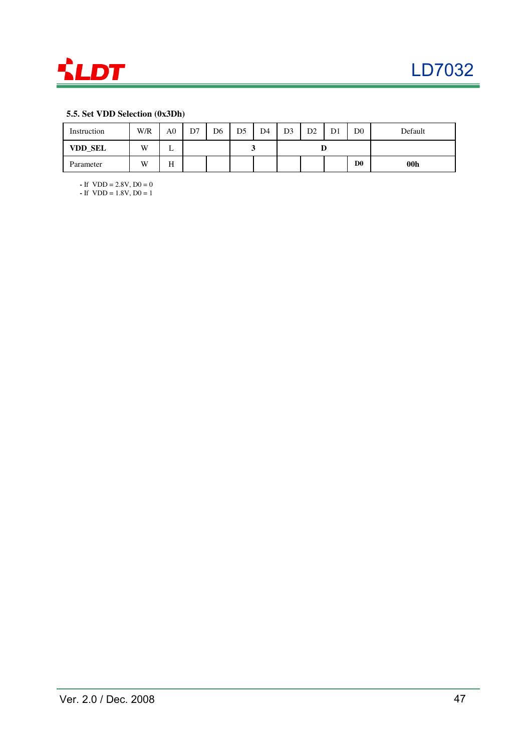

### **5.5. Set VDD Selection (0x3Dh)**

| Instruction    | W/R | A0            | D7 | D <sub>6</sub> | D5 | D <sub>4</sub> | D3 | D2 | D1 | D <sub>0</sub> | Default         |
|----------------|-----|---------------|----|----------------|----|----------------|----|----|----|----------------|-----------------|
| <b>VDD_SEL</b> | W   | ∸             |    |                |    |                |    |    |    |                |                 |
| Parameter      | W   | <b>TT</b><br> |    |                |    |                |    |    |    | D <sub>0</sub> | 00 <sub>h</sub> |

**-** If VDD = 2.8V, D0 = 0

**-** If VDD = 1.8V, D0 = 1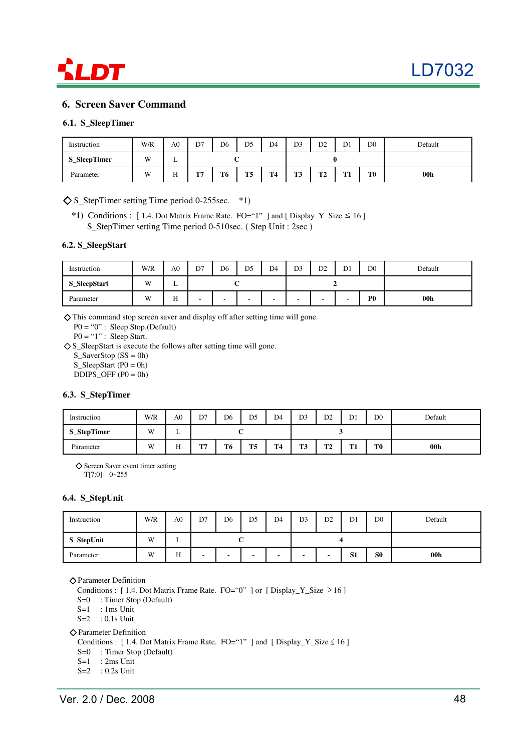

### **6. Screen Saver Command**

### **6.1. S\_SleepTimer**

| Instruction         | W/R            | A <sub>0</sub> | D7                | D <sub>6</sub> | D <sub>5</sub> | D <sub>4</sub> | D <sub>3</sub>    | D <sub>2</sub> | D <sub>1</sub>     | D <sub>0</sub> | Default         |
|---------------------|----------------|----------------|-------------------|----------------|----------------|----------------|-------------------|----------------|--------------------|----------------|-----------------|
| <b>S_SleepTimer</b> | W <sub>1</sub> | ∸              |                   |                |                |                |                   |                |                    |                |                 |
| Parameter           | W              | TТ<br>         | <b>COMP</b><br>л. | T <sub>6</sub> | T5             | T <sub>4</sub> | <b>TIM</b><br>1.J | mo<br>▪        | m <sub>1</sub><br> | T <sub>0</sub> | 00 <sub>h</sub> |

 $\diamond$  S StepTimer setting Time period 0-255sec. \*1)

**\*1)** Conditions : [ 1.4. Dot Matrix Frame Rate. FO="1" ] and [ Display\_Y\_Size ≤ 16 ] S\_StepTimer setting Time period 0-510sec. ( Step Unit : 2sec )

### **6.2. S\_SleepStart**

| Instruction         | W/R | A <sub>0</sub> | D7 | D <sub>6</sub>           | D <sub>5</sub> | D <sub>4</sub> | D <sub>3</sub> | D <sub>2</sub> | D1 | D <sub>0</sub> | Default         |
|---------------------|-----|----------------|----|--------------------------|----------------|----------------|----------------|----------------|----|----------------|-----------------|
| <b>S_SleepStart</b> | W   | ∸              |    |                          |                |                |                |                |    |                |                 |
| Parameter           | W   | H              |    | $\overline{\phantom{a}}$ |                | $\blacksquare$ | -              | -              | -  | P <sub>0</sub> | 00 <sub>h</sub> |

◇ This command stop screen saver and display off after setting time will gone.

P0 = "0" : Sleep Stop.(Default)

 $P0 = "1"$ : Sleep Start.

◇ S\_SleepStart is execute the follows after setting time will gone.

 $S_SaverStop (SS = 0h)$ 

 $S_SleepStart (P0 = 0h)$ 

 $DDIPS_OFF (P0 = 0h)$ 

### **6.3. S\_StepTimer**

| Instruction        | W/R | A0 | D7                 | D <sub>6</sub>             | D <sub>5</sub> | D <sub>4</sub> | D <sub>3</sub> | D2        | D <sub>1</sub> | D <sub>0</sub> | Default         |
|--------------------|-----|----|--------------------|----------------------------|----------------|----------------|----------------|-----------|----------------|----------------|-----------------|
| <b>S_StepTimer</b> | W   | ∸  |                    |                            |                |                |                |           |                |                |                 |
| Parameter          | W   | H  | <b>COMP</b><br>. . | T4<br>T <sub>5</sub><br>T6 |                |                | ma<br>1.J      | ጥን<br>. . | $m_{1}$<br>--  | T <sub>0</sub> | 00 <sub>h</sub> |

◇ Screen Saver event timer setting

T[7:0]:0~255

### **6.4. S\_StepUnit**

| Instruction | W/R | A <sub>0</sub> | D7 | D <sub>6</sub>                | D5 | D <sub>4</sub>           | D <sub>3</sub> | D <sub>2</sub>                   | D1 | D <sub>0</sub> | Default         |
|-------------|-----|----------------|----|-------------------------------|----|--------------------------|----------------|----------------------------------|----|----------------|-----------------|
| S_StepUnit  | W   | ∸              |    |                               |    |                          |                |                                  |    |                |                 |
| Parameter   | W   | H              |    | $\overline{\phantom{a}}$<br>- |    | $\overline{\phantom{0}}$ |                | S <sub>1</sub><br>$\blacksquare$ |    | S <sub>0</sub> | 00 <sub>h</sub> |

◇ Parameter Definition

Conditions :  $[1.4.$  Dot Matrix Frame Rate. FO="0" ] or  $[$  Display\_Y\_Size  $>16$  ]

S=0 : Timer Stop (Default)

 $S=1$  : 1 ms Unit

S=2 : 0.1s Unit

◇ Parameter Definition

Conditions :  $[1.4.$  Dot Matrix Frame Rate. FO="1" ] and  $[$  Display\_Y\_Size  $\leq 16$  ]

S=0 : Timer Stop (Default)

S=1 : 2ms Unit

S=2 : 0.2s Unit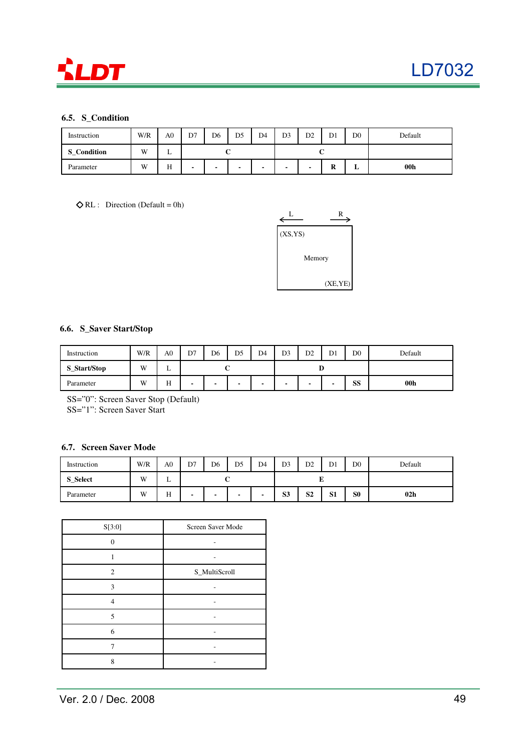

### **6.5. S\_Condition**

| Instruction        | W/R | A0 | D <sub>4</sub><br>D7<br>D <sub>6</sub><br>D <sub>5</sub> |                                    |  |  | D <sub>0</sub><br>D2<br>D <sub>1</sub><br>D <sub>3</sub> |        |   |                 | Default |  |
|--------------------|-----|----|----------------------------------------------------------|------------------------------------|--|--|----------------------------------------------------------|--------|---|-----------------|---------|--|
| <b>S</b> Condition | W   | ∸  |                                                          |                                    |  |  | ັ                                                        |        |   |                 |         |  |
| Parameter          | W   | H  | $\sim$                                                   | $\sim$<br>$\overline{\phantom{a}}$ |  |  | -                                                        | D<br>ĸ | ≖ | 00 <sub>h</sub> |         |  |

 $\Diamond$  RL : Direction (Default = 0h)



### **6.6. S\_Saver Start/Stop**

| Instruction  | W/R | A0 | D <sub>5</sub><br>D7<br>D <sub>6</sub> |             |  | D <sub>4</sub>           | D <sub>3</sub> | D <sub>2</sub>           | D <sub>1</sub> | Default |                 |
|--------------|-----|----|----------------------------------------|-------------|--|--------------------------|----------------|--------------------------|----------------|---------|-----------------|
| S_Start/Stop | W   | ∸  | ι.                                     |             |  |                          |                |                          |                |         |                 |
| Parameter    | W   | Н  | -                                      | $\sim$<br>- |  | $\overline{\phantom{0}}$ |                | $\overline{\phantom{a}}$ |                | SS      | 00 <sub>h</sub> |

SS="0": Screen Saver Stop (Default) SS="1": Screen Saver Start

### **6.7. Screen Saver Mode**

| Instruction     | W/R | A <sub>0</sub> | D7<br>D <sub>6</sub><br>D5<br>D <sub>4</sub><br>◡ |                                                      |  |                          | D <sub>3</sub> | D <sub>0</sub><br>D1<br>D <sub>2</sub> |                |                | Default         |
|-----------------|-----|----------------|---------------------------------------------------|------------------------------------------------------|--|--------------------------|----------------|----------------------------------------|----------------|----------------|-----------------|
| <b>S_Select</b> | W   | ∸              | ັ                                                 |                                                      |  |                          |                |                                        | Ľ              |                |                 |
| Parameter       | W   | H              | -                                                 | $\overline{\phantom{a}}$<br>$\overline{\phantom{a}}$ |  | $\overline{\phantom{0}}$ | S <sub>3</sub> | S <sub>2</sub>                         | S <sub>1</sub> | S <sub>0</sub> | 02 <sub>h</sub> |

| S[3:0]   | Screen Saver Mode |
|----------|-------------------|
| 0        |                   |
|          |                   |
| 2        | S_MultiScroll     |
| 3        |                   |
| $\Delta$ |                   |
| 5        |                   |
| 6        |                   |
|          |                   |
| 8        |                   |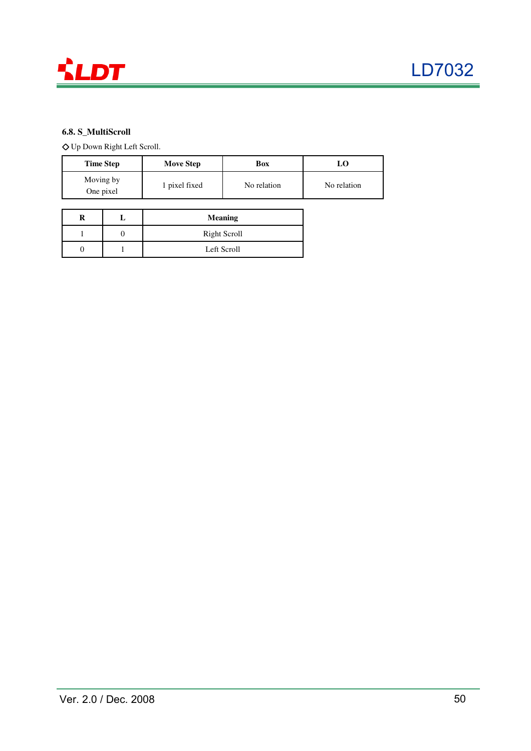

### **6.8. S\_MultiScroll**

◇ Up Down Right Left Scroll.

| <b>Time Step</b>       | <b>Move Step</b> | Box         | LΟ          |
|------------------------|------------------|-------------|-------------|
| Moving by<br>One pixel | 1 pixel fixed    | No relation | No relation |

|  | <b>Meaning</b>      |
|--|---------------------|
|  | <b>Right Scroll</b> |
|  | Left Scroll         |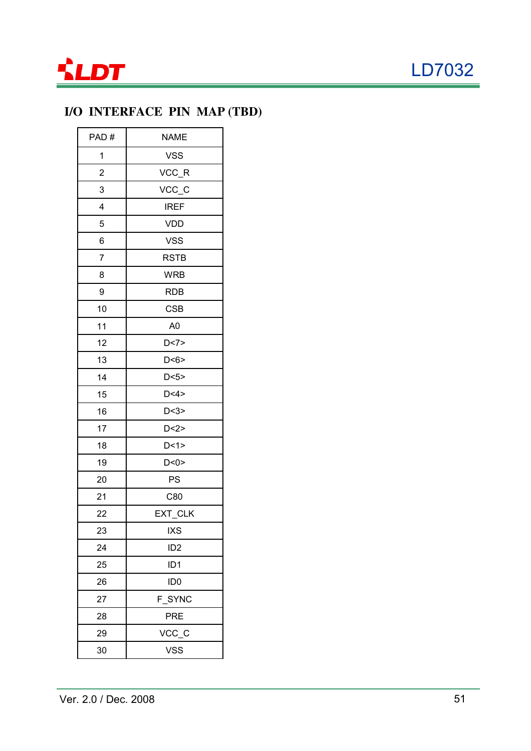

# **I/O INTERFACE PIN MAP (TBD)**

| PAD#           | <b>NAME</b>     |
|----------------|-----------------|
| 1              | <b>VSS</b>      |
| $\overline{2}$ | VCC_R           |
| 3              | VCC_C           |
| 4              | <b>IREF</b>     |
| 5              | <b>VDD</b>      |
| 6              | <b>VSS</b>      |
| $\overline{7}$ | <b>RSTB</b>     |
| 8              | <b>WRB</b>      |
| 9              | <b>RDB</b>      |
| 10             | <b>CSB</b>      |
| 11             | A <sub>0</sub>  |
| 12             | D < 7           |
| 13             | D < 6           |
| 14             | D < 5           |
| 15             | D < 4           |
| 16             | D < 3           |
| 17             | D < 2>          |
| 18             | D<1>            |
| 19             | D < 0           |
| 20             | PS              |
| 21             | C80             |
| 22             | EXT_CLK         |
| 23             | <b>IXS</b>      |
| 24             | ID <sub>2</sub> |
| 25             | ID <sub>1</sub> |
| 26             | ID <sub>0</sub> |
| 27             | F_SYNC          |
| 28             | <b>PRE</b>      |
| 29             | VCC_C           |
| 30             | <b>VSS</b>      |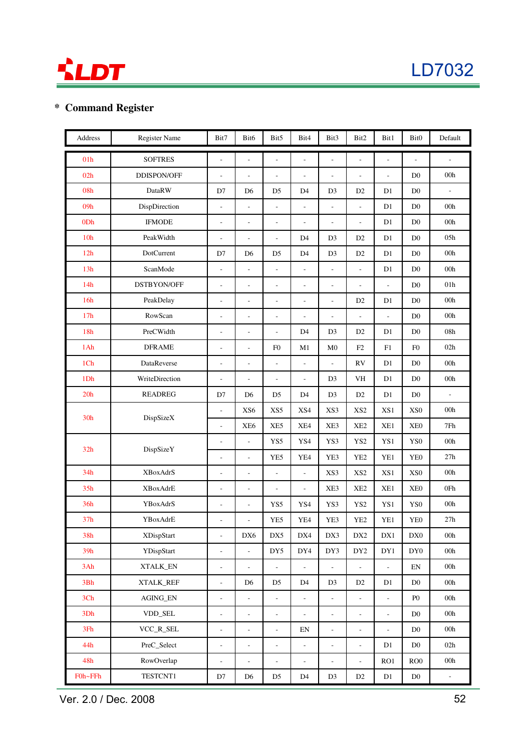



## **\* Command Register**

| Address         | Register Name     | Bit7                         | Bit6                     | Bit5                     | Bit4                     | Bit3                     | Bit2                     | Bit1                     | Bit <sub>0</sub>           | Default                      |
|-----------------|-------------------|------------------------------|--------------------------|--------------------------|--------------------------|--------------------------|--------------------------|--------------------------|----------------------------|------------------------------|
| 01h             | <b>SOFTRES</b>    | $\frac{1}{2}$                | ÷,                       | L,                       | $\frac{1}{2}$            | $\frac{1}{2}$            | ÷,                       | L,                       | ÷,                         | $\overline{a}$               |
| 02h             | DDISPON/OFF       | $\overline{\phantom{a}}$     | $\overline{\phantom{a}}$ | $\overline{a}$           | $\overline{\phantom{a}}$ | $\overline{\phantom{a}}$ | $\overline{a}$           | ÷,                       | D <sub>0</sub>             | 00h                          |
| 08h             | <b>DataRW</b>     | D7                           | D <sub>6</sub>           | D <sub>5</sub>           | D4                       | D <sub>3</sub>           | D2                       | D1                       | $\mathbf{D}0$              | $\qquad \qquad \blacksquare$ |
| 09h             | DispDirection     | $\overline{a}$               | $\overline{\phantom{a}}$ | Ĭ.                       | $\overline{\phantom{a}}$ | $\frac{1}{2}$            | $\overline{a}$           | D1                       | D <sub>0</sub>             | 00 <sub>h</sub>              |
| 0Dh             | <b>IFMODE</b>     | $\overline{\phantom{a}}$     | $\overline{\phantom{a}}$ | L,                       | L,                       | $\overline{a}$           | L,                       | D1                       | D <sub>0</sub>             | 00h                          |
| 10 <sub>h</sub> | PeakWidth         | ÷,                           | ÷,                       | L,                       | D <sub>4</sub>           | D <sub>3</sub>           | D <sub>2</sub>           | D1                       | D <sub>0</sub>             | 05h                          |
| 12h             | <b>DotCurrent</b> | D7                           | D <sub>6</sub>           | D <sub>5</sub>           | D <sub>4</sub>           | D <sub>3</sub>           | D <sub>2</sub>           | D1                       | D <sub>0</sub>             | 00 <sub>h</sub>              |
| 13h             | ScanMode          | ÷,                           | ÷,                       | $\overline{a}$           | $\overline{\phantom{a}}$ | $\overline{a}$           | $\overline{a}$           | D1                       | D <sub>0</sub>             | 00h                          |
| 14h             | DSTBYON/OFF       | ÷,                           | $\overline{\phantom{a}}$ | ÷,                       | $\overline{\phantom{a}}$ | $\frac{1}{2}$            | $\overline{\phantom{a}}$ | $\overline{a}$           | D <sub>0</sub>             | 01 <sub>h</sub>              |
| 16h             | PeakDelay         | $\overline{a}$               | ÷,                       | L,                       | $\overline{\phantom{a}}$ | $\frac{1}{2}$            | D <sub>2</sub>           | D1                       | D <sub>0</sub>             | 00h                          |
| 17h             | RowScan           | $\overline{a}$               | $\overline{\phantom{a}}$ | $\frac{1}{2}$            | $\overline{\phantom{a}}$ | $\overline{\phantom{a}}$ | $\overline{\phantom{a}}$ | $\overline{a}$           | D <sub>0</sub>             | $00h$                        |
| 18h             | PreCWidth         | ÷,                           | $\frac{1}{2}$            | L.                       | D <sub>4</sub>           | D <sub>3</sub>           | D2                       | D1                       | D <sub>0</sub>             | $08\mathrm{h}$               |
| 1Ah             | <b>DFRAME</b>     | ÷,                           | $\sim$                   | F <sub>0</sub>           | M1                       | $\mathbf{M}0$            | F2                       | ${\rm F}1$               | ${\rm F0}$                 | 02h                          |
| 1Ch             | DataReverse       | ÷,                           | $\overline{\phantom{a}}$ | ÷,                       | $\overline{\phantom{a}}$ | $\frac{1}{2}$            | ${\rm RV}$               | D1                       | $\rm D0$                   | $00h$                        |
| 1Dh             | WriteDirection    | $\overline{\phantom{a}}$     | $\overline{\phantom{a}}$ | $\overline{\phantom{a}}$ | $\overline{\phantom{a}}$ | D <sub>3</sub>           | VH                       | D1                       | $\mathbf{D}0$              | 00h                          |
| 20h             | <b>READREG</b>    | D7                           | D <sub>6</sub>           | D <sub>5</sub>           | D4                       | D <sub>3</sub>           | D2                       | D1                       | $\mathbf{D}0$              | $\overline{\phantom{a}}$     |
| 30 <sub>h</sub> | DispSizeX         | $\overline{a}$               | XS <sub>6</sub>          | XS5                      | XS4                      | XS3                      | XS <sub>2</sub>          | XS1                      | XS0                        | 00h                          |
|                 |                   | $\overline{a}$               | XE <sub>6</sub>          | XE5                      | XE4                      | XE3                      | XE <sub>2</sub>          | XE1                      | XE <sub>0</sub>            | 7Fh                          |
| 32h             | DispSizeY         | ÷,                           | $\overline{a}$           | YS5                      | YS4                      | YS3                      | YS <sub>2</sub>          | YS1                      | YS0                        | 00h                          |
|                 |                   | $\overline{a}$               | $\overline{\phantom{a}}$ | YE5                      | YE4                      | YE3                      | YE <sub>2</sub>          | YE1                      | YE <sub>0</sub>            | 27h                          |
| 34h             | <b>XBoxAdrS</b>   | $\overline{a}$               | ÷,                       | L,                       | $\frac{1}{2}$            | XS3                      | XS <sub>2</sub>          | XS1                      | XS <sub>0</sub>            | 00h                          |
| 35h             | <b>XBoxAdrE</b>   | ÷,                           | ÷,                       | ÷,                       | $\overline{\phantom{a}}$ | XE3                      | XE <sub>2</sub>          | XE1                      | XE <sub>0</sub>            | 0Fh                          |
| 36h             | YBoxAdrS          | $\overline{a}$               | ÷,                       | YS5                      | YS4                      | YS3                      | YS <sub>2</sub>          | YS1                      | YS0                        | 00h                          |
| 37 <sub>h</sub> | YBoxAdrE          | $\overline{a}$               | $\overline{\phantom{0}}$ | YE5                      | YE4                      | YE3                      | YE <sub>2</sub>          | YE1                      | YE <sub>0</sub>            | 27h                          |
| 38h             | <b>XDispStart</b> | $\overline{\phantom{a}}$     | DX6                      | $\rm{DX5}$               | DX4                      | DX3                      | DX2                      | ${\rm D}X1$              | DX0                        | $00\mathrm{h}$               |
| 39h             | YDispStart        | $\overline{\phantom{a}}$     | $\Box$                   | DY5                      | DY4                      | DY3                      | DY <sub>2</sub>          | DY1                      | $\mathrm{DY}0$             | $00h\,$                      |
| 3Ah             | XTALK_EN          | $\overline{\phantom{a}}$     | $\bar{\phantom{a}}$      | $\frac{1}{2}$            | $\omega$                 | $\overline{a}$           | $\frac{1}{2}$            | $\frac{1}{2}$            | $\mathop{\rm EN}\nolimits$ | 00h                          |
| 3Bh             | XTALK_REF         | $\Box$                       | D <sub>6</sub>           | D <sub>5</sub>           | D4                       | D <sub>3</sub>           | D2                       | D1                       | $\mathbf{D}0$              | 00h                          |
| 3Ch             | <b>AGING EN</b>   | $\overline{\phantom{a}}$     | $\Box$                   | $\overline{\phantom{a}}$ | $\overline{\phantom{a}}$ | $\overline{\phantom{0}}$ | $\overline{\phantom{a}}$ | $\overline{\phantom{a}}$ | P <sub>0</sub>             | 00h                          |
| 3Dh             | VDD_SEL           | $\blacksquare$               | $\overline{\phantom{a}}$ | $\overline{\phantom{a}}$ | $\Box$                   | $\overline{\phantom{a}}$ | $\overline{\phantom{a}}$ | $\frac{1}{2}$            | D <sub>0</sub>             | 00h                          |
| 3Fh             | VCC_R_SEL         | $\qquad \qquad \blacksquare$ | $\overline{\phantom{a}}$ | $\overline{\phantom{0}}$ | EN                       | $\overline{\phantom{a}}$ | $\overline{\phantom{a}}$ | $\overline{\phantom{0}}$ | D <sub>0</sub>             | 00h                          |
| 44h             | PreC_Select       | $\overline{\phantom{a}}$     | $\overline{\phantom{a}}$ | ÷                        | $\Box$                   | $\frac{1}{2}$            | $\overline{\phantom{a}}$ | D1                       | $\mathbf{D}0$              | 02h                          |
| 48h             | RowOverlap        | $\blacksquare$               | $\blacksquare$           | Ĭ.                       | $\overline{\phantom{a}}$ | $\frac{1}{2}$            | ÷,                       | RO1                      | ROO                        | 00h                          |
| F0h~FFh         | TESTCNT1          | D7                           | D <sub>6</sub>           | D <sub>5</sub>           | D4                       | D <sub>3</sub>           | D2                       | D1                       | $\mathbf{D}0$              | ÷                            |